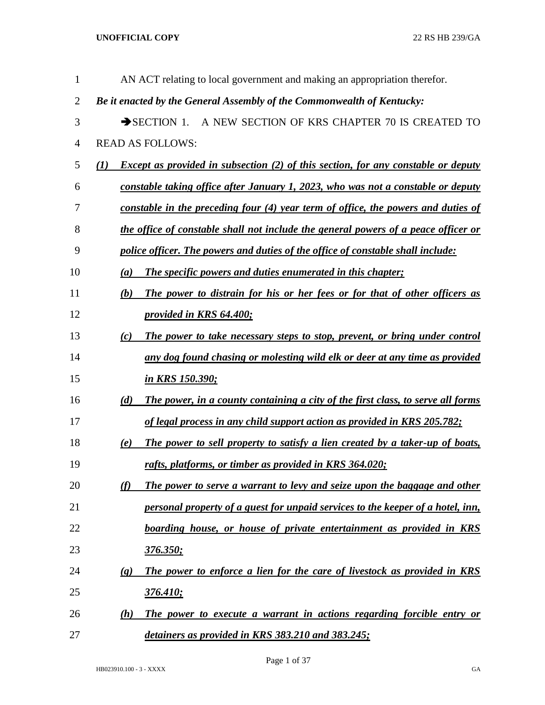| $\mathbf{1}$   | AN ACT relating to local government and making an appropriation therefor.                                    |
|----------------|--------------------------------------------------------------------------------------------------------------|
| $\overline{2}$ | Be it enacted by the General Assembly of the Commonwealth of Kentucky:                                       |
| 3              | A NEW SECTION OF KRS CHAPTER 70 IS CREATED TO<br>$\rightarrow$ SECTION 1.                                    |
| $\overline{4}$ | <b>READ AS FOLLOWS:</b>                                                                                      |
| 5              | <b>Except as provided in subsection (2) of this section, for any constable or deputy</b><br>$\mathcal{L}(I)$ |
| 6              | constable taking office after January 1, 2023, who was not a constable or deputy                             |
| 7              | constable in the preceding four (4) year term of office, the powers and duties of                            |
| 8              | the office of constable shall not include the general powers of a peace officer or                           |
| 9              | police officer. The powers and duties of the office of constable shall include:                              |
| 10             | <b>The specific powers and duties enumerated in this chapter;</b><br>(a)                                     |
| 11             | The power to distrain for his or her fees or for that of other officers as<br>(b)                            |
| 12             | provided in KRS 64.400;                                                                                      |
| 13             | The power to take necessary steps to stop, prevent, or bring under control<br>(c)                            |
| 14             | any dog found chasing or molesting wild elk or deer at any time as provided                                  |
| 15             | <u>in KRS 150.390;</u>                                                                                       |
| 16             | (d)<br>The power, in a county containing a city of the first class, to serve all forms                       |
| 17             | of legal process in any child support action as provided in KRS 205.782;                                     |
| 18             | The power to sell property to satisfy a lien created by a taker-up of boats,<br>(e)                          |
| 19             | rafts, platforms, or timber as provided in KRS 364.020;                                                      |
| 20             | (f)<br>The power to serve a warrant to levy and seize upon the baggage and other                             |
| 21             | personal property of a guest for unpaid services to the keeper of a hotel, inn,                              |
| 22             | boarding house, or house of private entertainment as provided in KRS                                         |
| 23             | <u>376.350;</u>                                                                                              |
| 24             | The power to enforce a lien for the care of livestock as provided in KRS<br>$\left( \mathbf{g}\right)$       |
| 25             | <u>376.410;</u>                                                                                              |
| 26             | The power to execute a warrant in actions regarding forcible entry or<br>(h)                                 |
| 27             | detainers as provided in KRS 383.210 and 383.245;                                                            |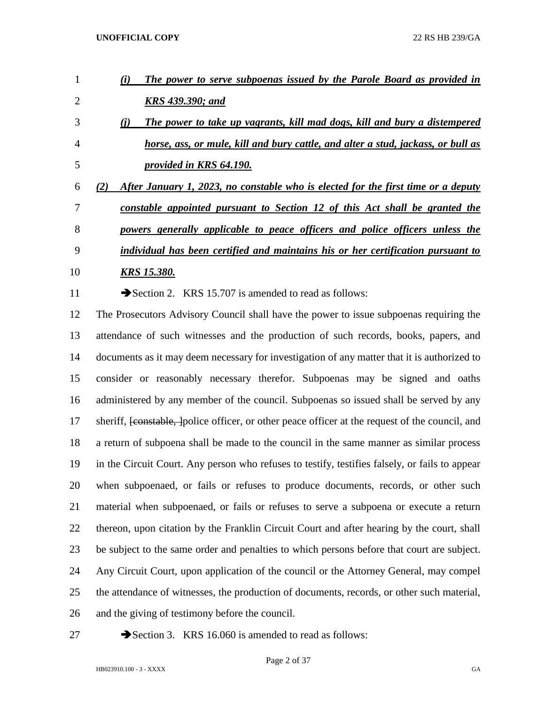| $\mathbf{1}$   | The power to serve subpoenas issued by the Parole Board as provided in<br>(i)                               |
|----------------|-------------------------------------------------------------------------------------------------------------|
| $\overline{2}$ | <b>KRS 439.390; and</b>                                                                                     |
| 3              | The power to take up vagrants, kill mad dogs, kill and bury a distempered<br>(i)                            |
| $\overline{4}$ | horse, ass, or mule, kill and bury cattle, and alter a stud, jackass, or bull as                            |
| 5              | provided in KRS 64.190.                                                                                     |
| 6              | After January 1, 2023, no constable who is elected for the first time or a deputy<br>(2)                    |
| 7              | constable appointed pursuant to Section 12 of this Act shall be granted the                                 |
| 8              | powers generally applicable to peace officers and police officers unless the                                |
| 9              | individual has been certified and maintains his or her certification pursuant to                            |
| 10             | <u>KRS 15.380.</u>                                                                                          |
| 11             | Section 2. KRS 15.707 is amended to read as follows:                                                        |
| 12             | The Prosecutors Advisory Council shall have the power to issue subpoenas requiring the                      |
| 13             | attendance of such witnesses and the production of such records, books, papers, and                         |
| 14             | documents as it may deem necessary for investigation of any matter that it is authorized to                 |
| 15             | consider or reasonably necessary therefor. Subpoenas may be signed and oaths                                |
| 16             | administered by any member of the council. Subpoenas so issued shall be served by any                       |
| 17             | sheriff, <del>[constable, ]</del> police officer, or other peace officer at the request of the council, and |
| 18             | a return of subpoena shall be made to the council in the same manner as similar process                     |
| 19             | in the Circuit Court. Any person who refuses to testify, testifies falsely, or fails to appear              |
| 20             | when subpoenaed, or fails or refuses to produce documents, records, or other such                           |
| 21             | material when subpoenaed, or fails or refuses to serve a subpoena or execute a return                       |
| 22             | thereon, upon citation by the Franklin Circuit Court and after hearing by the court, shall                  |

be subject to the same order and penalties to which persons before that court are subject.

Any Circuit Court, upon application of the council or the Attorney General, may compel

the attendance of witnesses, the production of documents, records, or other such material,

and the giving of testimony before the council.

27 Section 3. KRS 16.060 is amended to read as follows:

Page 2 of 37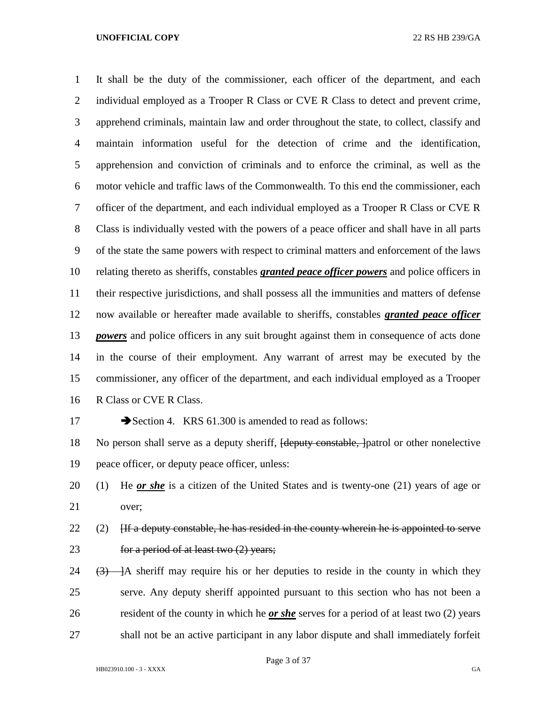It shall be the duty of the commissioner, each officer of the department, and each 2 individual employed as a Trooper R Class or CVE R Class to detect and prevent crime, apprehend criminals, maintain law and order throughout the state, to collect, classify and maintain information useful for the detection of crime and the identification, apprehension and conviction of criminals and to enforce the criminal, as well as the motor vehicle and traffic laws of the Commonwealth. To this end the commissioner, each officer of the department, and each individual employed as a Trooper R Class or CVE R Class is individually vested with the powers of a peace officer and shall have in all parts of the state the same powers with respect to criminal matters and enforcement of the laws relating thereto as sheriffs, constables *granted peace officer powers* and police officers in their respective jurisdictions, and shall possess all the immunities and matters of defense now available or hereafter made available to sheriffs, constables *granted peace officer powers* and police officers in any suit brought against them in consequence of acts done in the course of their employment. Any warrant of arrest may be executed by the commissioner, any officer of the department, and each individual employed as a Trooper R Class or CVE R Class.

### 17 Section 4. KRS 61.300 is amended to read as follows:

18 No person shall serve as a deputy sheriff, <del>[deputy constable, ]</del>patrol or other nonelective peace officer, or deputy peace officer, unless:

- (1) He *or she* is a citizen of the United States and is twenty-one (21) years of age or over;
- 22 (2)  $\left| \right|$  [If a deputy constable, he has resided in the county wherein he is appointed to serve **for a period of at least two (2) years;**
- 24  $(3)$   $\rightarrow$  A sheriff may require his or her deputies to reside in the county in which they serve. Any deputy sheriff appointed pursuant to this section who has not been a resident of the county in which he *or she* serves for a period of at least two (2) years shall not be an active participant in any labor dispute and shall immediately forfeit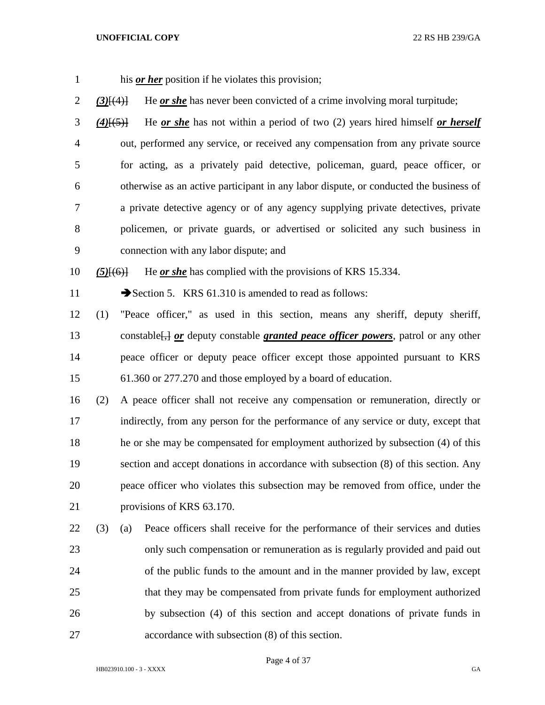| $\mathbf{1}$ |                 |     | his <i>or her</i> position if he violates this provision;                                       |
|--------------|-----------------|-----|-------------------------------------------------------------------------------------------------|
| 2            | $(3)$ [ $(4)$ ] |     | He <u>or she</u> has never been convicted of a crime involving moral turpitude;                 |
| 3            | $(4)$ [(5)]     |     | He or she has not within a period of two $(2)$ years hired himself or herself                   |
| 4            |                 |     | out, performed any service, or received any compensation from any private source                |
| 5            |                 |     | for acting, as a privately paid detective, policeman, guard, peace officer, or                  |
| 6            |                 |     | otherwise as an active participant in any labor dispute, or conducted the business of           |
| 7            |                 |     | a private detective agency or of any agency supplying private detectives, private               |
| 8            |                 |     | policemen, or private guards, or advertised or solicited any such business in                   |
| 9            |                 |     | connection with any labor dispute; and                                                          |
| 10           | $(5)$ [ $(6)$ ] |     | He or she has complied with the provisions of KRS 15.334.                                       |
| 11           |                 |     | Section 5. KRS 61.310 is amended to read as follows:                                            |
| 12           | (1)             |     | "Peace officer," as used in this section, means any sheriff, deputy sheriff,                    |
| 13           |                 |     | constable <sup>[14]</sup> or deputy constable granted peace officer powers, patrol or any other |
| 14           |                 |     | peace officer or deputy peace officer except those appointed pursuant to KRS                    |
| 15           |                 |     | 61.360 or 277.270 and those employed by a board of education.                                   |
| 16           | (2)             |     | A peace officer shall not receive any compensation or remuneration, directly or                 |
| 17           |                 |     | indirectly, from any person for the performance of any service or duty, except that             |
| 18           |                 |     | he or she may be compensated for employment authorized by subsection (4) of this                |
| 19           |                 |     | section and accept donations in accordance with subsection (8) of this section. Any             |
| 20           |                 |     | peace officer who violates this subsection may be removed from office, under the                |
| 21           |                 |     | provisions of KRS 63.170.                                                                       |
| 22           | (3)             | (a) | Peace officers shall receive for the performance of their services and duties                   |
| 23           |                 |     | only such compensation or remuneration as is regularly provided and paid out                    |
| 24           |                 |     | of the public funds to the amount and in the manner provided by law, except                     |
| 25           |                 |     | that they may be compensated from private funds for employment authorized                       |
| 26           |                 |     | by subsection (4) of this section and accept donations of private funds in                      |
| 27           |                 |     | accordance with subsection (8) of this section.                                                 |

Page 4 of 37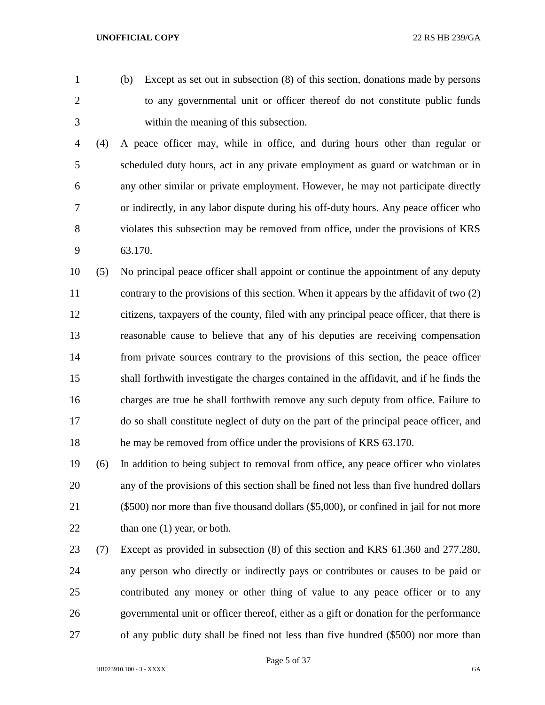- 
- (b) Except as set out in subsection (8) of this section, donations made by persons to any governmental unit or officer thereof do not constitute public funds within the meaning of this subsection.
- (4) A peace officer may, while in office, and during hours other than regular or scheduled duty hours, act in any private employment as guard or watchman or in any other similar or private employment. However, he may not participate directly or indirectly, in any labor dispute during his off-duty hours. Any peace officer who violates this subsection may be removed from office, under the provisions of KRS 63.170.

 (5) No principal peace officer shall appoint or continue the appointment of any deputy 11 contrary to the provisions of this section. When it appears by the affidavit of two (2) citizens, taxpayers of the county, filed with any principal peace officer, that there is reasonable cause to believe that any of his deputies are receiving compensation from private sources contrary to the provisions of this section, the peace officer shall forthwith investigate the charges contained in the affidavit, and if he finds the charges are true he shall forthwith remove any such deputy from office. Failure to do so shall constitute neglect of duty on the part of the principal peace officer, and he may be removed from office under the provisions of KRS 63.170.

 (6) In addition to being subject to removal from office, any peace officer who violates any of the provisions of this section shall be fined not less than five hundred dollars (\$500) nor more than five thousand dollars (\$5,000), or confined in jail for not more 22 than one (1) year, or both.

 (7) Except as provided in subsection (8) of this section and KRS 61.360 and 277.280, any person who directly or indirectly pays or contributes or causes to be paid or contributed any money or other thing of value to any peace officer or to any governmental unit or officer thereof, either as a gift or donation for the performance of any public duty shall be fined not less than five hundred (\$500) nor more than

Page 5 of 37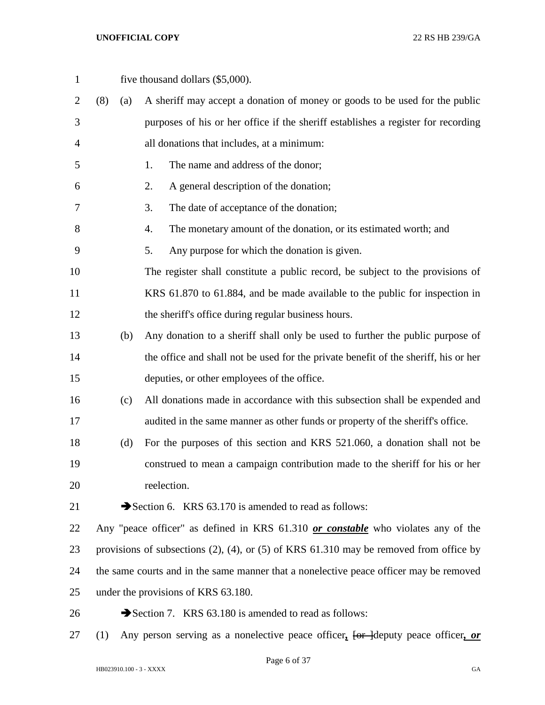| $\mathbf{1}$   |     |     | five thousand dollars (\$5,000).                                                               |
|----------------|-----|-----|------------------------------------------------------------------------------------------------|
| $\overline{2}$ | (8) | (a) | A sheriff may accept a donation of money or goods to be used for the public                    |
| 3              |     |     | purposes of his or her office if the sheriff establishes a register for recording              |
| 4              |     |     | all donations that includes, at a minimum:                                                     |
| 5              |     |     | The name and address of the donor;<br>1.                                                       |
| 6              |     |     | A general description of the donation;<br>2.                                                   |
| 7              |     |     | The date of acceptance of the donation;<br>3.                                                  |
| 8              |     |     | 4.<br>The monetary amount of the donation, or its estimated worth; and                         |
| 9              |     |     | Any purpose for which the donation is given.<br>5.                                             |
| 10             |     |     | The register shall constitute a public record, be subject to the provisions of                 |
| 11             |     |     | KRS 61.870 to 61.884, and be made available to the public for inspection in                    |
| 12             |     |     | the sheriff's office during regular business hours.                                            |
| 13             |     | (b) | Any donation to a sheriff shall only be used to further the public purpose of                  |
| 14             |     |     | the office and shall not be used for the private benefit of the sheriff, his or her            |
| 15             |     |     | deputies, or other employees of the office.                                                    |
| 16             |     | (c) | All donations made in accordance with this subsection shall be expended and                    |
| 17             |     |     | audited in the same manner as other funds or property of the sheriff's office.                 |
| 18             |     | (d) | For the purposes of this section and KRS 521.060, a donation shall not be                      |
| 19             |     |     | construed to mean a campaign contribution made to the sheriff for his or her                   |
| 20             |     |     | reelection.                                                                                    |
| 21             |     |     | Section 6. KRS 63.170 is amended to read as follows:                                           |
| 22             |     |     | Any "peace officer" as defined in KRS 61.310 or constable who violates any of the              |
| 23             |     |     | provisions of subsections $(2)$ , $(4)$ , or $(5)$ of KRS 61.310 may be removed from office by |
| 24             |     |     | the same courts and in the same manner that a nonelective peace officer may be removed         |
| 25             |     |     | under the provisions of KRS 63.180.                                                            |
| 26             |     |     | Section 7. KRS 63.180 is amended to read as follows:                                           |
|                |     |     |                                                                                                |

(1) Any person serving as a nonelective peace officer*,* [or ]deputy peace officer*, or*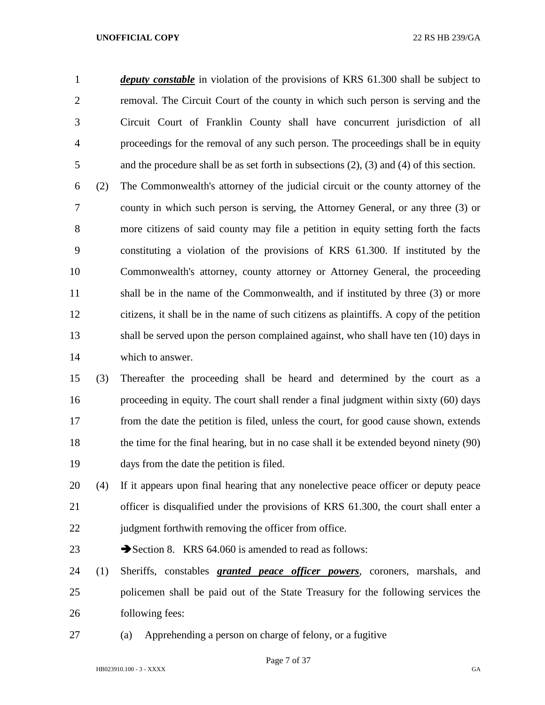*deputy constable* in violation of the provisions of KRS 61.300 shall be subject to removal. The Circuit Court of the county in which such person is serving and the Circuit Court of Franklin County shall have concurrent jurisdiction of all proceedings for the removal of any such person. The proceedings shall be in equity and the procedure shall be as set forth in subsections (2), (3) and (4) of this section.

 (2) The Commonwealth's attorney of the judicial circuit or the county attorney of the county in which such person is serving, the Attorney General, or any three (3) or more citizens of said county may file a petition in equity setting forth the facts constituting a violation of the provisions of KRS 61.300. If instituted by the Commonwealth's attorney, county attorney or Attorney General, the proceeding 11 shall be in the name of the Commonwealth, and if instituted by three (3) or more citizens, it shall be in the name of such citizens as plaintiffs. A copy of the petition shall be served upon the person complained against, who shall have ten (10) days in which to answer.

 (3) Thereafter the proceeding shall be heard and determined by the court as a proceeding in equity. The court shall render a final judgment within sixty (60) days from the date the petition is filed, unless the court, for good cause shown, extends the time for the final hearing, but in no case shall it be extended beyond ninety (90) days from the date the petition is filed.

 (4) If it appears upon final hearing that any nonelective peace officer or deputy peace officer is disqualified under the provisions of KRS 61.300, the court shall enter a 22 judgment forthwith removing the officer from office.

23 Section 8. KRS 64.060 is amended to read as follows:

 (1) Sheriffs, constables *granted peace officer powers*, coroners, marshals, and policemen shall be paid out of the State Treasury for the following services the following fees:

(a) Apprehending a person on charge of felony, or a fugitive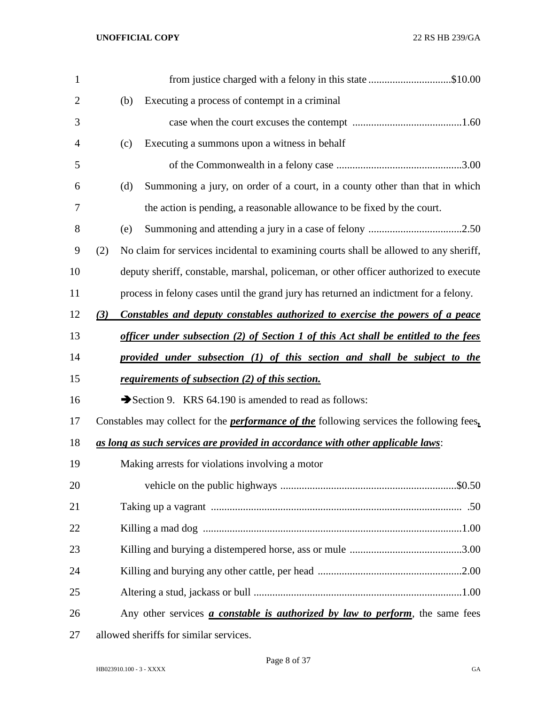| $\mathbf{1}$   |     | from justice charged with a felony in this state \$10.00                                        |
|----------------|-----|-------------------------------------------------------------------------------------------------|
| $\overline{2}$ |     | Executing a process of contempt in a criminal<br>(b)                                            |
| 3              |     |                                                                                                 |
| 4              |     | Executing a summons upon a witness in behalf<br>(c)                                             |
| 5              |     |                                                                                                 |
| 6              |     | Summoning a jury, on order of a court, in a county other than that in which<br>(d)              |
| 7              |     | the action is pending, a reasonable allowance to be fixed by the court.                         |
| 8              |     | (e)                                                                                             |
| 9              | (2) | No claim for services incidental to examining courts shall be allowed to any sheriff,           |
| 10             |     | deputy sheriff, constable, marshal, policeman, or other officer authorized to execute           |
| 11             |     | process in felony cases until the grand jury has returned an indictment for a felony.           |
| 12             | (3) | Constables and deputy constables authorized to exercise the powers of a peace                   |
| 13             |     | <u>officer under subsection (2) of Section 1 of this Act shall be entitled to the fees</u>      |
| 14             |     | provided under subsection (1) of this section and shall be subject to the                       |
| 15             |     | requirements of subsection (2) of this section.                                                 |
| 16             |     | Section 9. KRS 64.190 is amended to read as follows:                                            |
| 17             |     | Constables may collect for the <i>performance of the</i> following services the following fees, |
| 18             |     | as long as such services are provided in accordance with other applicable laws:                 |
| 19             |     | Making arrests for violations involving a motor                                                 |
| 20             |     |                                                                                                 |
| 21             |     |                                                                                                 |
| 22             |     |                                                                                                 |
| 23             |     |                                                                                                 |
| 24             |     |                                                                                                 |
| 25             |     |                                                                                                 |
| 26             |     | Any other services <i>a constable is authorized by law to perform</i> , the same fees           |
| 27             |     | allowed sheriffs for similar services.                                                          |

HB023910.100 - 3 - XXXX GA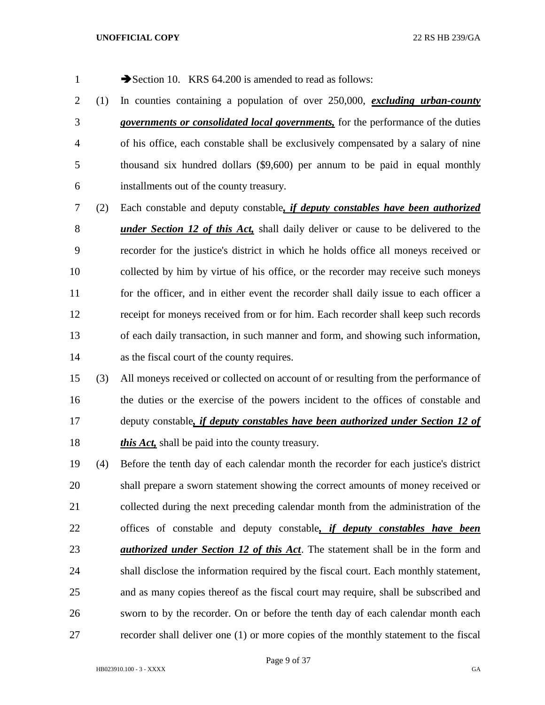1 Section 10. KRS 64.200 is amended to read as follows:

- (1) In counties containing a population of over 250,000, *excluding urban-county governments or consolidated local governments,* for the performance of the duties of his office, each constable shall be exclusively compensated by a salary of nine thousand six hundred dollars (\$9,600) per annum to be paid in equal monthly installments out of the county treasury.
- (2) Each constable and deputy constable*, if deputy constables have been authorized under Section 12 of this Act,* shall daily deliver or cause to be delivered to the recorder for the justice's district in which he holds office all moneys received or collected by him by virtue of his office, or the recorder may receive such moneys 11 for the officer, and in either event the recorder shall daily issue to each officer a receipt for moneys received from or for him. Each recorder shall keep such records of each daily transaction, in such manner and form, and showing such information, as the fiscal court of the county requires.
- (3) All moneys received or collected on account of or resulting from the performance of the duties or the exercise of the powers incident to the offices of constable and deputy constable*, if deputy constables have been authorized under Section 12 of this Act,* shall be paid into the county treasury.
- (4) Before the tenth day of each calendar month the recorder for each justice's district shall prepare a sworn statement showing the correct amounts of money received or collected during the next preceding calendar month from the administration of the offices of constable and deputy constable*, if deputy constables have been authorized under Section 12 of this Act*. The statement shall be in the form and shall disclose the information required by the fiscal court. Each monthly statement, and as many copies thereof as the fiscal court may require, shall be subscribed and sworn to by the recorder. On or before the tenth day of each calendar month each recorder shall deliver one (1) or more copies of the monthly statement to the fiscal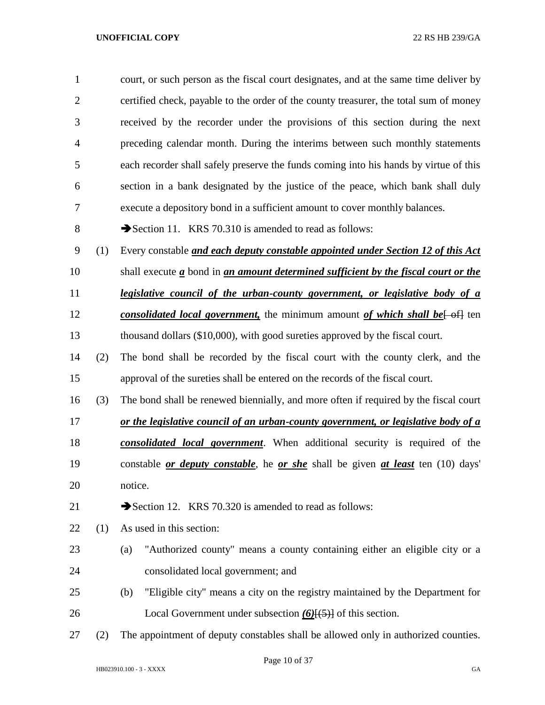| $\mathbf{1}$   |     | court, or such person as the fiscal court designates, and at the same time deliver by                 |  |  |  |  |
|----------------|-----|-------------------------------------------------------------------------------------------------------|--|--|--|--|
| $\overline{2}$ |     | certified check, payable to the order of the county treasurer, the total sum of money                 |  |  |  |  |
| 3              |     | received by the recorder under the provisions of this section during the next                         |  |  |  |  |
| $\overline{4}$ |     | preceding calendar month. During the interims between such monthly statements                         |  |  |  |  |
| 5              |     | each recorder shall safely preserve the funds coming into his hands by virtue of this                 |  |  |  |  |
| 6              |     | section in a bank designated by the justice of the peace, which bank shall duly                       |  |  |  |  |
| 7              |     | execute a depository bond in a sufficient amount to cover monthly balances.                           |  |  |  |  |
| 8              |     | Section 11. KRS 70.310 is amended to read as follows:                                                 |  |  |  |  |
| 9              | (1) | Every constable and each deputy constable appointed under Section 12 of this Act                      |  |  |  |  |
| 10             |     | shall execute $\underline{a}$ bond in an amount determined sufficient by the fiscal court or the      |  |  |  |  |
| 11             |     | legislative council of the urban-county government, or legislative body of a                          |  |  |  |  |
| 12             |     | <i>consolidated local government</i> , the minimum amount of which shall be $\left\{\theta$ ten       |  |  |  |  |
| 13             |     | thousand dollars (\$10,000), with good sureties approved by the fiscal court.                         |  |  |  |  |
| 14             | (2) | The bond shall be recorded by the fiscal court with the county clerk, and the                         |  |  |  |  |
| 15             |     | approval of the sureties shall be entered on the records of the fiscal court.                         |  |  |  |  |
| 16             | (3) | The bond shall be renewed biennially, and more often if required by the fiscal court                  |  |  |  |  |
| 17             |     | or the legislative council of an urban-county government, or legislative body of a                    |  |  |  |  |
| 18             |     | consolidated local government. When additional security is required of the                            |  |  |  |  |
| 19             |     | constable <i>or deputy constable</i> , he <i>or she</i> shall be given <i>at least</i> ten (10) days' |  |  |  |  |
| 20             |     | notice.                                                                                               |  |  |  |  |
| 21             |     | Section 12. KRS 70.320 is amended to read as follows:                                                 |  |  |  |  |
| 22             | (1) | As used in this section:                                                                              |  |  |  |  |
| 23             |     | "Authorized county" means a county containing either an eligible city or a<br>(a)                     |  |  |  |  |
| 24             |     | consolidated local government; and                                                                    |  |  |  |  |
| 25             |     | "Eligible city" means a city on the registry maintained by the Department for<br>(b)                  |  |  |  |  |
| 26             |     | Local Government under subsection $(6)$ [ $(5)$ ] of this section.                                    |  |  |  |  |
| 27             | (2) | The appointment of deputy constables shall be allowed only in authorized counties.                    |  |  |  |  |
|                |     |                                                                                                       |  |  |  |  |

Page 10 of 37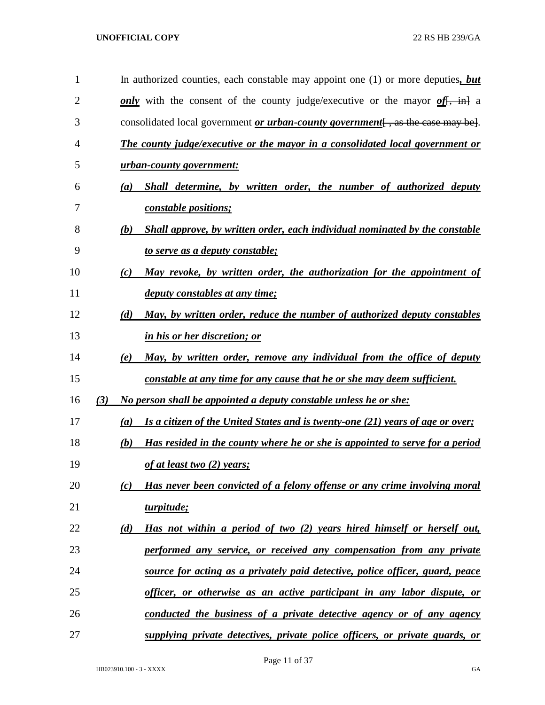| 1              |     |                  | In authorized counties, each constable may appoint one $(1)$ or more deputies, but        |
|----------------|-----|------------------|-------------------------------------------------------------------------------------------|
| $\overline{2}$ |     |                  | only with the consent of the county judge/executive or the mayor of $\frac{f}{f}$ , in a  |
| 3              |     |                  | consolidated local government <i>or urban-county government</i> $[$ , as the case may be. |
| 4              |     |                  | <b>The county judge/executive or the mayor in a consolidated local government or</b>      |
| 5              |     |                  | urban-county government:                                                                  |
| 6              |     | $\left(a\right)$ | Shall determine, by written order, the number of authorized deputy                        |
| 7              |     |                  | <i>constable positions;</i>                                                               |
| 8              |     | (b)              | Shall approve, by written order, each individual nominated by the constable               |
| 9              |     |                  | to serve as a deputy constable;                                                           |
| 10             |     | (c)              | May revoke, by written order, the authorization for the appointment of                    |
| 11             |     |                  | <i>deputy constables at any time;</i>                                                     |
| 12             |     | (d)              | May, by written order, reduce the number of authorized deputy constables                  |
| 13             |     |                  | in his or her discretion; or                                                              |
| 14             |     | (e)              | May, by written order, remove any individual from the office of deputy                    |
| 15             |     |                  | constable at any time for any cause that he or she may deem sufficient.                   |
| 16             | (3) |                  | No person shall be appointed a deputy constable unless he or she:                         |
| 17             |     | (a)              | Is a citizen of the United States and is twenty-one (21) years of age or over;            |
| 18             |     | (b)              | Has resided in the county where he or she is appointed to serve for a period              |
| 19             |     |                  | of at least two $(2)$ years;                                                              |
| 20             |     | (c)              | Has never been convicted of a felony offense or any crime involving moral                 |
| 21             |     |                  | turpitude;                                                                                |
| 22             |     | (d)              | Has not within a period of two (2) years hired himself or herself out,                    |
| 23             |     |                  | performed any service, or received any compensation from any private                      |
| 24             |     |                  | source for acting as a privately paid detective, police officer, guard, peace             |
| 25             |     |                  | officer, or otherwise as an active participant in any labor dispute, or                   |
| 26             |     |                  | conducted the business of a private detective agency or of any agency                     |
| 27             |     |                  | supplying private detectives, private police officers, or private guards, or              |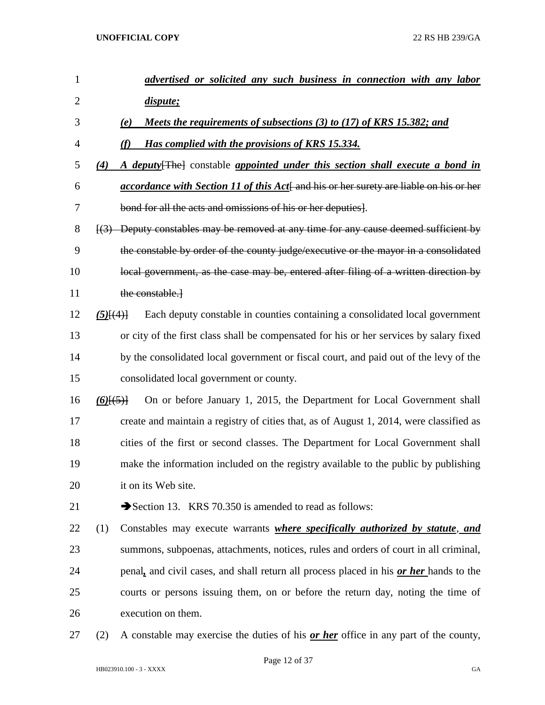| 1              |               | advertised or solicited any such business in connection with any labor                                     |
|----------------|---------------|------------------------------------------------------------------------------------------------------------|
| $\overline{2}$ |               | dispute;                                                                                                   |
| 3              |               | Meets the requirements of subsections (3) to (17) of KRS 15.382; and<br>(e)                                |
| 4              |               | Has complied with the provisions of KRS 15.334.                                                            |
| 5              | (4)           | A deputy [The] constable appointed under this section shall execute a bond in                              |
| 6              |               | <i>accordance with Section 11 of this Act</i> and his or her surety are liable on his or her               |
| 7              |               | bond for all the acts and omissions of his or her deputies].                                               |
| 8              |               | $\left[\frac{3}{2}\right]$ Deputy constables may be removed at any time for any cause deemed sufficient by |
| 9              |               | the constable by order of the county judge/executive or the mayor in a consolidated                        |
| 10             |               | local government, as the case may be, entered after filing of a written direction by                       |
| 11             |               | the constable.                                                                                             |
| 12             | $(5)$ $\{4\}$ | Each deputy constable in counties containing a consolidated local government                               |
| 13             |               | or city of the first class shall be compensated for his or her services by salary fixed                    |
| 14             |               | by the consolidated local government or fiscal court, and paid out of the levy of the                      |
| 15             |               | consolidated local government or county.                                                                   |
| 16             | $(6)$ $(5)$   | On or before January 1, 2015, the Department for Local Government shall                                    |
| 17             |               | create and maintain a registry of cities that, as of August 1, 2014, were classified as                    |
| 18             |               | cities of the first or second classes. The Department for Local Government shall                           |
| 19             |               | make the information included on the registry available to the public by publishing                        |
| 20             |               | it on its Web site.                                                                                        |
| 21             |               | Section 13. KRS 70.350 is amended to read as follows:                                                      |
| 22             | (1)           | Constables may execute warrants <i>where specifically authorized by statute</i> , and                      |
| 23             |               | summons, subpoenas, attachments, notices, rules and orders of court in all criminal,                       |
| 24             |               | penal, and civil cases, and shall return all process placed in his or her hands to the                     |
| 25             |               | courts or persons issuing them, on or before the return day, noting the time of                            |
| 26             |               | execution on them.                                                                                         |
| 27             | (2)           | A constable may exercise the duties of his <b>or her</b> office in any part of the county,                 |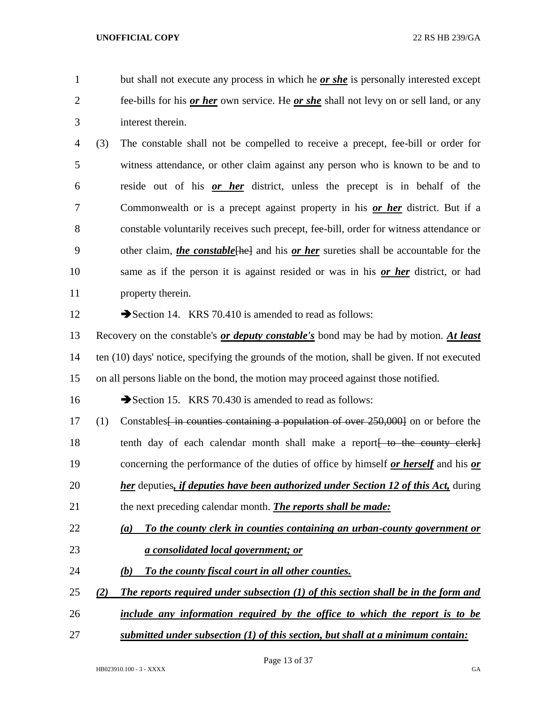but shall not execute any process in which he *or she* is personally interested except fee-bills for his *or her* own service. He *or she* shall not levy on or sell land, or any interest therein.

 (3) The constable shall not be compelled to receive a precept, fee-bill or order for witness attendance, or other claim against any person who is known to be and to reside out of his *or her* district, unless the precept is in behalf of the Commonwealth or is a precept against property in his *or her* district. But if a constable voluntarily receives such precept, fee-bill, order for witness attendance or 9 other claim, *the constable*<sup>[he]</sup> and his *or her* sureties shall be accountable for the same as if the person it is against resided or was in his *or her* district, or had property therein.

12 Section 14. KRS 70.410 is amended to read as follows:

 Recovery on the constable's *or deputy constable's* bond may be had by motion. *At least* ten (10) days' notice, specifying the grounds of the motion, shall be given. If not executed on all persons liable on the bond, the motion may proceed against those notified.

16 Section 15. KRS 70.430 is amended to read as follows:

17 (1) Constables<del>[ in counties containing a population of over 250,000]</del> on or before the 18 tenth day of each calendar month shall make a report to the county clerk concerning the performance of the duties of office by himself *or herself* and his *or her* deputies*, if deputies have been authorized under Section 12 of this Act,* during

- the next preceding calendar month. *The reports shall be made:*
- *(a) To the county clerk in counties containing an urban-county government or a consolidated local government; or*
- *(b) To the county fiscal court in all other counties.*
- *(2) The reports required under subsection (1) of this section shall be in the form and*
- *include any information required by the office to which the report is to be*
- *submitted under subsection (1) of this section, but shall at a minimum contain:*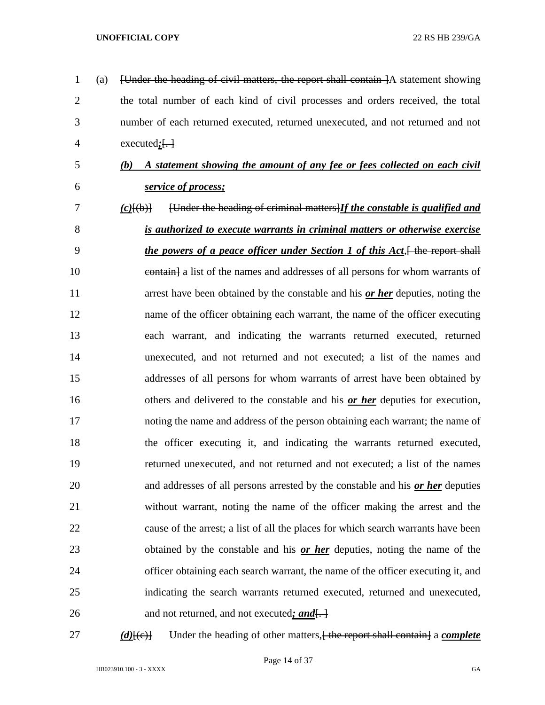| $\mathbf{1}$   | (a) | [Under the heading of civil matters, the report shall contain ]A statement showing       |
|----------------|-----|------------------------------------------------------------------------------------------|
| $\overline{2}$ |     | the total number of each kind of civil processes and orders received, the total          |
| 3              |     | number of each returned executed, returned unexecuted, and not returned and not          |
| 4              |     | $executed;\leftarrow\}$                                                                  |
| 5              |     | A statement showing the amount of any fee or fees collected on each civil<br>(b)         |
| 6              |     | service of process;                                                                      |
| 7              |     | [Under the heading of criminal matters] If the constable is qualified and<br>$(c)$ [(b)] |
| 8              |     | is authorized to execute warrants in criminal matters or otherwise exercise              |
| 9              |     | <i>the powers of a peace officer under Section 1 of this Act</i> , the report shall      |
| 10             |     | eontain] a list of the names and addresses of all persons for whom warrants of           |
| 11             |     | arrest have been obtained by the constable and his <u>or her</u> deputies, noting the    |
| 12             |     | name of the officer obtaining each warrant, the name of the officer executing            |
| 13             |     | each warrant, and indicating the warrants returned executed, returned                    |
| 14             |     | unexecuted, and not returned and not executed; a list of the names and                   |
| 15             |     | addresses of all persons for whom warrants of arrest have been obtained by               |
| 16             |     | others and delivered to the constable and his or her deputies for execution,             |
| 17             |     | noting the name and address of the person obtaining each warrant; the name of            |
| 18             |     | the officer executing it, and indicating the warrants returned executed,                 |
| 19             |     | returned unexecuted, and not returned and not executed; a list of the names              |
| 20             |     | and addresses of all persons arrested by the constable and his or her deputies           |
| 21             |     | without warrant, noting the name of the officer making the arrest and the                |
| 22             |     | cause of the arrest; a list of all the places for which search warrants have been        |
| 23             |     | obtained by the constable and his or her deputies, noting the name of the                |
| 24             |     | officer obtaining each search warrant, the name of the officer executing it, and         |
| 25             |     | indicating the search warrants returned executed, returned and unexecuted,               |
| 26             |     | and not returned, and not executed; and.                                                 |
|                |     |                                                                                          |

*(d)*[(e)] Under the heading of other matters, the report shall contain a *complete*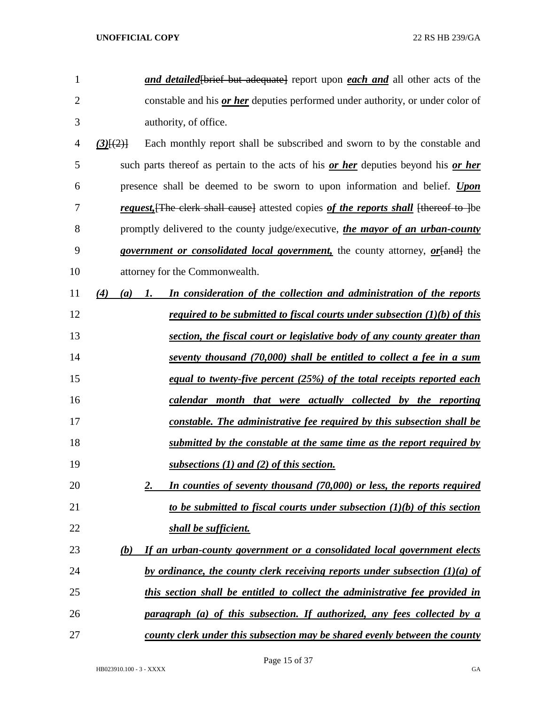| 1              | and detailed to but adequate report upon each and all other acts of the                          |
|----------------|--------------------------------------------------------------------------------------------------|
| $\overline{2}$ | constable and his <i>or her</i> deputies performed under authority, or under color of            |
| 3              | authority, of office.                                                                            |
| $\overline{4}$ | Each monthly report shall be subscribed and sworn to by the constable and<br>$(3)$ [ $(2)$ ]     |
| 5              | such parts thereof as pertain to the acts of his <u>or her</u> deputies beyond his <u>or her</u> |
| 6              | presence shall be deemed to be sworn to upon information and belief. Upon                        |
| 7              | request, [The clerk shall cause] attested copies of the reports shall [thereof to ] be           |
| 8              | promptly delivered to the county judge/executive, the mayor of an urban-county                   |
| 9              | government or consolidated local government, the county attorney, or [and] the                   |
| 10             | attorney for the Commonwealth.                                                                   |
| 11             | In consideration of the collection and administration of the reports<br>(4)<br>(a)<br>1.         |
| 12             | <u>required to be submitted to fiscal courts under subsection <math>(1)(b)</math> of this</u>    |
| 13             | section, the fiscal court or legislative body of any county greater than                         |
| 14             | seventy thousand (70,000) shall be entitled to collect a fee in a sum                            |
| 15             | equal to twenty-five percent (25%) of the total receipts reported each                           |
| 16             | calendar month that were actually collected by the reporting                                     |
| 17             | constable. The administrative fee required by this subsection shall be                           |
| 18             | submitted by the constable at the same time as the report required by                            |
| 19             | subsections $(1)$ and $(2)$ of this section.                                                     |
| 20             | In counties of seventy thousand (70,000) or less, the reports required<br>2.                     |
| 21             | to be submitted to fiscal courts under subsection $(1)(b)$ of this section                       |
| 22             | shall be sufficient.                                                                             |
| 23             | If an urban-county government or a consolidated local government elects<br>(b)                   |
| 24             | by ordinance, the county clerk receiving reports under subsection $(1)(a)$ of                    |
| 25             | this section shall be entitled to collect the administrative fee provided in                     |
| 26             | paragraph (a) of this subsection. If authorized, any fees collected by a                         |
| 27             | county clerk under this subsection may be shared evenly between the county                       |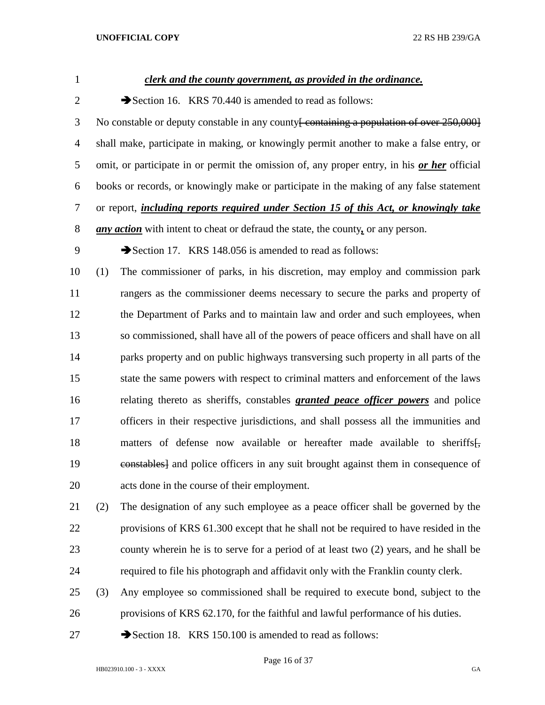| $\mathbf{1}$   |     | <u>clerk and the county government, as provided in the ordinance.</u>                                |
|----------------|-----|------------------------------------------------------------------------------------------------------|
| $\overline{2}$ |     | Section 16. KRS 70.440 is amended to read as follows:                                                |
| 3              |     | No constable or deputy constable in any county <del>[ containing a population of over 250,000]</del> |
| $\overline{4}$ |     | shall make, participate in making, or knowingly permit another to make a false entry, or             |
| 5              |     | omit, or participate in or permit the omission of, any proper entry, in his or her official          |
| 6              |     | books or records, or knowingly make or participate in the making of any false statement              |
| 7              |     | or report, <i>including reports required under Section 15 of this Act, or knowingly take</i>         |
| 8              |     | <i>any action</i> with intent to cheat or defraud the state, the county, or any person.              |
| 9              |     | Section 17. KRS 148.056 is amended to read as follows:                                               |
| 10             | (1) | The commissioner of parks, in his discretion, may employ and commission park                         |
| 11             |     | rangers as the commissioner deems necessary to secure the parks and property of                      |
| 12             |     | the Department of Parks and to maintain law and order and such employees, when                       |
| 13             |     | so commissioned, shall have all of the powers of peace officers and shall have on all                |
| 14             |     | parks property and on public highways transversing such property in all parts of the                 |
| 15             |     | state the same powers with respect to criminal matters and enforcement of the laws                   |
| 16             |     | relating thereto as sheriffs, constables <b>granted peace officer powers</b> and police              |
| 17             |     | officers in their respective jurisdictions, and shall possess all the immunities and                 |
| 18             |     | matters of defense now available or hereafter made available to sheriffs.                            |
| 19             |     | eonstables] and police officers in any suit brought against them in consequence of                   |
| 20             |     | acts done in the course of their employment.                                                         |
| 21             | (2) | The designation of any such employee as a peace officer shall be governed by the                     |
| 22             |     | provisions of KRS 61.300 except that he shall not be required to have resided in the                 |
| 23             |     | county wherein he is to serve for a period of at least two (2) years, and he shall be                |
| 24             |     | required to file his photograph and affidavit only with the Franklin county clerk.                   |
| 25             | (3) | Any employee so commissioned shall be required to execute bond, subject to the                       |

- provisions of KRS 62.170, for the faithful and lawful performance of his duties.
- 27 Section 18. KRS 150.100 is amended to read as follows:

Page 16 of 37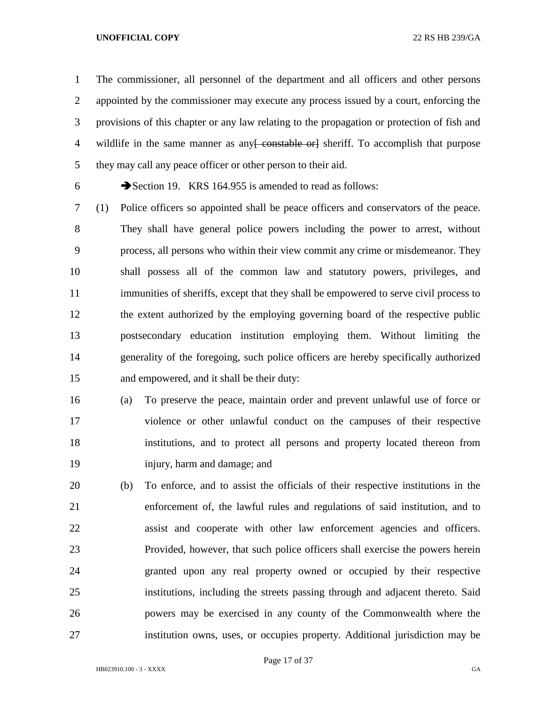The commissioner, all personnel of the department and all officers and other persons appointed by the commissioner may execute any process issued by a court, enforcing the provisions of this chapter or any law relating to the propagation or protection of fish and 4 wildlife in the same manner as any constable or estimate orly sheet if. To accomplish that purpose they may call any peace officer or other person to their aid.

Section 19. KRS 164.955 is amended to read as follows:

 (1) Police officers so appointed shall be peace officers and conservators of the peace. They shall have general police powers including the power to arrest, without process, all persons who within their view commit any crime or misdemeanor. They shall possess all of the common law and statutory powers, privileges, and immunities of sheriffs, except that they shall be empowered to serve civil process to the extent authorized by the employing governing board of the respective public postsecondary education institution employing them. Without limiting the generality of the foregoing, such police officers are hereby specifically authorized and empowered, and it shall be their duty:

 (a) To preserve the peace, maintain order and prevent unlawful use of force or violence or other unlawful conduct on the campuses of their respective institutions, and to protect all persons and property located thereon from injury, harm and damage; and

 (b) To enforce, and to assist the officials of their respective institutions in the enforcement of, the lawful rules and regulations of said institution, and to assist and cooperate with other law enforcement agencies and officers. Provided, however, that such police officers shall exercise the powers herein granted upon any real property owned or occupied by their respective institutions, including the streets passing through and adjacent thereto. Said powers may be exercised in any county of the Commonwealth where the institution owns, uses, or occupies property. Additional jurisdiction may be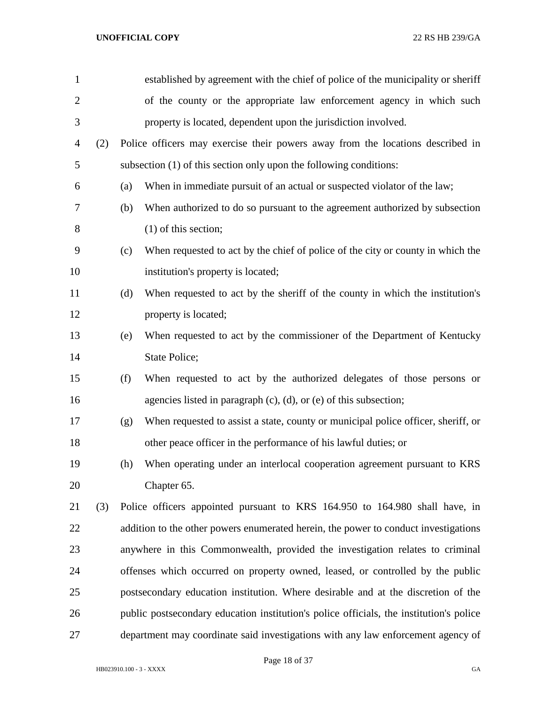| $\mathbf{1}$   |     |     | established by agreement with the chief of police of the municipality or sheriff        |
|----------------|-----|-----|-----------------------------------------------------------------------------------------|
| $\overline{2}$ |     |     | of the county or the appropriate law enforcement agency in which such                   |
| 3              |     |     | property is located, dependent upon the jurisdiction involved.                          |
| $\overline{4}$ | (2) |     | Police officers may exercise their powers away from the locations described in          |
| 5              |     |     | subsection (1) of this section only upon the following conditions:                      |
| 6              |     | (a) | When in immediate pursuit of an actual or suspected violator of the law;                |
| $\tau$         |     | (b) | When authorized to do so pursuant to the agreement authorized by subsection             |
| 8              |     |     | $(1)$ of this section;                                                                  |
| 9              |     | (c) | When requested to act by the chief of police of the city or county in which the         |
| 10             |     |     | institution's property is located;                                                      |
| 11             |     | (d) | When requested to act by the sheriff of the county in which the institution's           |
| 12             |     |     | property is located;                                                                    |
| 13             |     | (e) | When requested to act by the commissioner of the Department of Kentucky                 |
| 14             |     |     | State Police;                                                                           |
| 15             |     | (f) | When requested to act by the authorized delegates of those persons or                   |
| 16             |     |     | agencies listed in paragraph $(c)$ , $(d)$ , or $(e)$ of this subsection;               |
| 17             |     | (g) | When requested to assist a state, county or municipal police officer, sheriff, or       |
| 18             |     |     | other peace officer in the performance of his lawful duties; or                         |
| 19             |     | (h) | When operating under an interlocal cooperation agreement pursuant to KRS                |
| 20             |     |     | Chapter 65.                                                                             |
| 21             | (3) |     | Police officers appointed pursuant to KRS 164.950 to 164.980 shall have, in             |
| 22             |     |     | addition to the other powers enumerated herein, the power to conduct investigations     |
| 23             |     |     | anywhere in this Commonwealth, provided the investigation relates to criminal           |
| 24             |     |     | offenses which occurred on property owned, leased, or controlled by the public          |
| 25             |     |     | postsecondary education institution. Where desirable and at the discretion of the       |
| 26             |     |     | public postsecondary education institution's police officials, the institution's police |
| 27             |     |     | department may coordinate said investigations with any law enforcement agency of        |

Page 18 of 37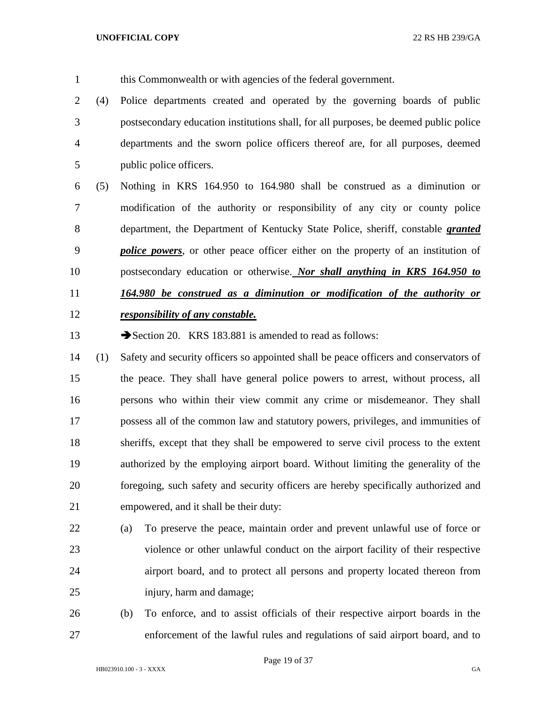- this Commonwealth or with agencies of the federal government.
- (4) Police departments created and operated by the governing boards of public postsecondary education institutions shall, for all purposes, be deemed public police departments and the sworn police officers thereof are, for all purposes, deemed public police officers.
- (5) Nothing in KRS 164.950 to 164.980 shall be construed as a diminution or modification of the authority or responsibility of any city or county police department, the Department of Kentucky State Police, sheriff, constable *granted police powers*, or other peace officer either on the property of an institution of postsecondary education or otherwise. *Nor shall anything in KRS 164.950 to 164.980 be construed as a diminution or modification of the authority or responsibility of any constable.*
- 13 Section 20. KRS 183.881 is amended to read as follows:
- (1) Safety and security officers so appointed shall be peace officers and conservators of the peace. They shall have general police powers to arrest, without process, all persons who within their view commit any crime or misdemeanor. They shall possess all of the common law and statutory powers, privileges, and immunities of sheriffs, except that they shall be empowered to serve civil process to the extent authorized by the employing airport board. Without limiting the generality of the foregoing, such safety and security officers are hereby specifically authorized and empowered, and it shall be their duty:
- (a) To preserve the peace, maintain order and prevent unlawful use of force or violence or other unlawful conduct on the airport facility of their respective airport board, and to protect all persons and property located thereon from injury, harm and damage;
- (b) To enforce, and to assist officials of their respective airport boards in the enforcement of the lawful rules and regulations of said airport board, and to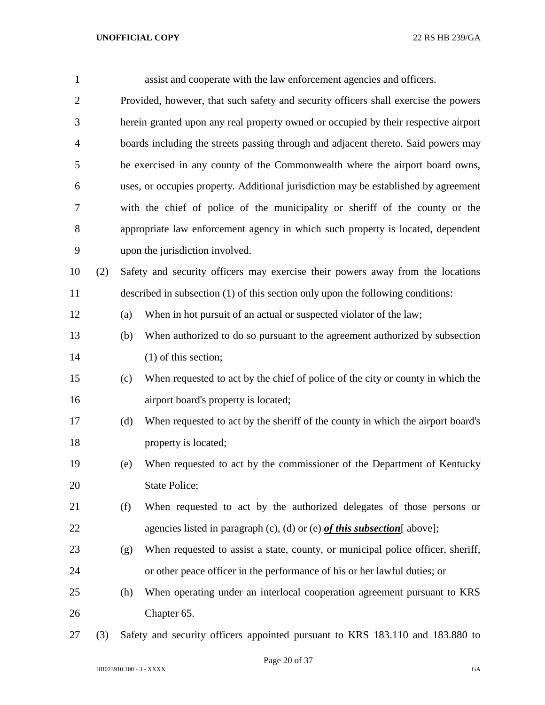| $\mathbf{1}$   |     |     | assist and cooperate with the law enforcement agencies and officers.                |
|----------------|-----|-----|-------------------------------------------------------------------------------------|
| $\overline{2}$ |     |     | Provided, however, that such safety and security officers shall exercise the powers |
| 3              |     |     | herein granted upon any real property owned or occupied by their respective airport |
| $\overline{4}$ |     |     | boards including the streets passing through and adjacent thereto. Said powers may  |
| 5              |     |     | be exercised in any county of the Commonwealth where the airport board owns,        |
| 6              |     |     | uses, or occupies property. Additional jurisdiction may be established by agreement |
| 7              |     |     | with the chief of police of the municipality or sheriff of the county or the        |
| 8              |     |     | appropriate law enforcement agency in which such property is located, dependent     |
| 9              |     |     | upon the jurisdiction involved.                                                     |
| 10             | (2) |     | Safety and security officers may exercise their powers away from the locations      |
| 11             |     |     | described in subsection (1) of this section only upon the following conditions:     |
| 12             |     | (a) | When in hot pursuit of an actual or suspected violator of the law;                  |
| 13             |     | (b) | When authorized to do so pursuant to the agreement authorized by subsection         |
| 14             |     |     | $(1)$ of this section;                                                              |
| 15             |     | (c) | When requested to act by the chief of police of the city or county in which the     |
| 16             |     |     | airport board's property is located;                                                |
| 17             |     | (d) | When requested to act by the sheriff of the county in which the airport board's     |
| 18             |     |     | property is located;                                                                |
| 19             |     | (e) | When requested to act by the commissioner of the Department of Kentucky             |
| 20             |     |     | State Police;                                                                       |
| 21             |     | (f) | When requested to act by the authorized delegates of those persons or               |
| 22             |     |     | agencies listed in paragraph (c), (d) or (e) of this subsection $\left[$ above];    |
| 23             |     | (g) | When requested to assist a state, county, or municipal police officer, sheriff,     |
| 24             |     |     | or other peace officer in the performance of his or her lawful duties; or           |
| 25             |     | (h) | When operating under an interlocal cooperation agreement pursuant to KRS            |
| 26             |     |     | Chapter 65.                                                                         |
|                |     |     |                                                                                     |

(3) Safety and security officers appointed pursuant to KRS 183.110 and 183.880 to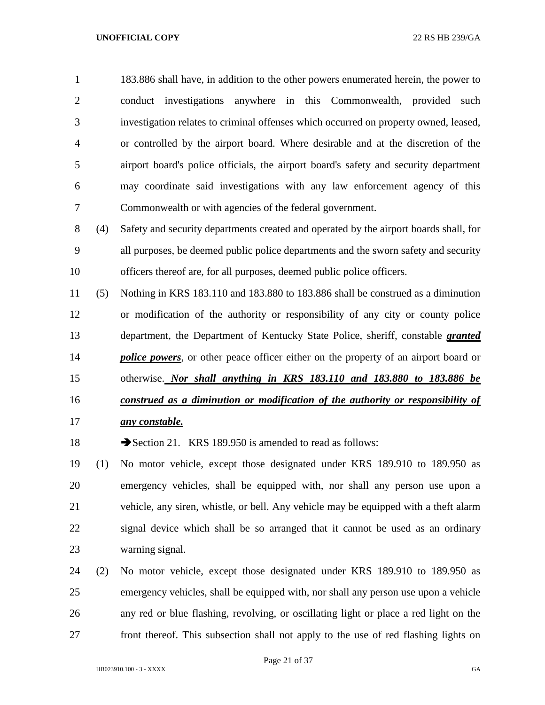183.886 shall have, in addition to the other powers enumerated herein, the power to conduct investigations anywhere in this Commonwealth, provided such investigation relates to criminal offenses which occurred on property owned, leased, or controlled by the airport board. Where desirable and at the discretion of the airport board's police officials, the airport board's safety and security department may coordinate said investigations with any law enforcement agency of this Commonwealth or with agencies of the federal government.

 (4) Safety and security departments created and operated by the airport boards shall, for all purposes, be deemed public police departments and the sworn safety and security officers thereof are, for all purposes, deemed public police officers.

 (5) Nothing in KRS 183.110 and 183.880 to 183.886 shall be construed as a diminution or modification of the authority or responsibility of any city or county police department, the Department of Kentucky State Police, sheriff, constable *granted police powers*, or other peace officer either on the property of an airport board or otherwise. *Nor shall anything in KRS 183.110 and 183.880 to 183.886 be construed as a diminution or modification of the authority or responsibility of* 

*any constable.*

18 Section 21. KRS 189.950 is amended to read as follows:

 (1) No motor vehicle, except those designated under KRS 189.910 to 189.950 as emergency vehicles, shall be equipped with, nor shall any person use upon a vehicle, any siren, whistle, or bell. Any vehicle may be equipped with a theft alarm signal device which shall be so arranged that it cannot be used as an ordinary warning signal.

 (2) No motor vehicle, except those designated under KRS 189.910 to 189.950 as emergency vehicles, shall be equipped with, nor shall any person use upon a vehicle any red or blue flashing, revolving, or oscillating light or place a red light on the front thereof. This subsection shall not apply to the use of red flashing lights on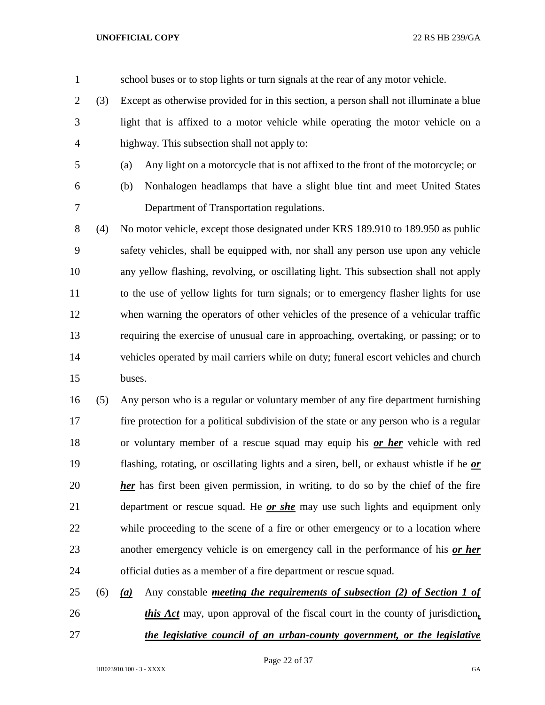school buses or to stop lights or turn signals at the rear of any motor vehicle. (3) Except as otherwise provided for in this section, a person shall not illuminate a blue

- light that is affixed to a motor vehicle while operating the motor vehicle on a highway. This subsection shall not apply to:
- (a) Any light on a motorcycle that is not affixed to the front of the motorcycle; or
- 
- 

(b) Nonhalogen headlamps that have a slight blue tint and meet United States

Department of Transportation regulations.

 (4) No motor vehicle, except those designated under KRS 189.910 to 189.950 as public safety vehicles, shall be equipped with, nor shall any person use upon any vehicle any yellow flashing, revolving, or oscillating light. This subsection shall not apply to the use of yellow lights for turn signals; or to emergency flasher lights for use when warning the operators of other vehicles of the presence of a vehicular traffic requiring the exercise of unusual care in approaching, overtaking, or passing; or to vehicles operated by mail carriers while on duty; funeral escort vehicles and church buses.

 (5) Any person who is a regular or voluntary member of any fire department furnishing fire protection for a political subdivision of the state or any person who is a regular or voluntary member of a rescue squad may equip his *or her* vehicle with red flashing, rotating, or oscillating lights and a siren, bell, or exhaust whistle if he *or her* has first been given permission, in writing, to do so by the chief of the fire department or rescue squad. He *or she* may use such lights and equipment only while proceeding to the scene of a fire or other emergency or to a location where another emergency vehicle is on emergency call in the performance of his *or her* official duties as a member of a fire department or rescue squad.

 (6) *(a)* Any constable *meeting the requirements of subsection (2) of Section 1 of this Act* may, upon approval of the fiscal court in the county of jurisdiction*, the legislative council of an urban-county government, or the legislative*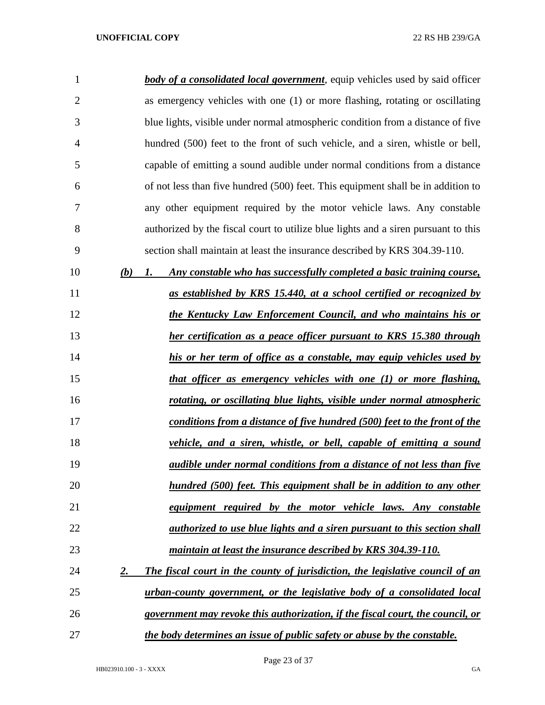| 1              |           | <b>body of a consolidated local government</b> , equip vehicles used by said officer |
|----------------|-----------|--------------------------------------------------------------------------------------|
| $\overline{2}$ |           | as emergency vehicles with one (1) or more flashing, rotating or oscillating         |
| 3              |           | blue lights, visible under normal atmospheric condition from a distance of five      |
| 4              |           | hundred (500) feet to the front of such vehicle, and a siren, whistle or bell,       |
| 5              |           | capable of emitting a sound audible under normal conditions from a distance          |
| 6              |           | of not less than five hundred (500) feet. This equipment shall be in addition to     |
| 7              |           | any other equipment required by the motor vehicle laws. Any constable                |
| 8              |           | authorized by the fiscal court to utilize blue lights and a siren pursuant to this   |
| 9              |           | section shall maintain at least the insurance described by KRS 304.39-110.           |
| 10             | (b)       | Any constable who has successfully completed a basic training course,<br>1.          |
| 11             |           | as established by KRS 15.440, at a school certified or recognized by                 |
| 12             |           | the Kentucky Law Enforcement Council, and who maintains his or                       |
| 13             |           | her certification as a peace officer pursuant to KRS 15.380 through                  |
| 14             |           | his or her term of office as a constable, may equip vehicles used by                 |
| 15             |           | that officer as emergency vehicles with one (1) or more flashing,                    |
| 16             |           | rotating, or oscillating blue lights, visible under normal atmospheric               |
| 17             |           | conditions from a distance of five hundred (500) feet to the front of the            |
| 18             |           | vehicle, and a siren, whistle, or bell, capable of emitting a sound                  |
| 19             |           | audible under normal conditions from a distance of not less than five                |
| 20             |           | hundred (500) feet. This equipment shall be in addition to any other                 |
| 21             |           | equipment required by the motor vehicle laws. Any constable                          |
| 22             |           | <i>authorized to use blue lights and a siren pursuant to this section shall</i>      |
| 23             |           | maintain at least the insurance described by KRS 304.39-110.                         |
| 24             | <u>2.</u> | The fiscal court in the county of jurisdiction, the legislative council of an        |
| 25             |           | urban-county government, or the legislative body of a consolidated local             |
| 26             |           | government may revoke this authorization, if the fiscal court, the council, or       |
| 27             |           | the body determines an issue of public safety or abuse by the constable.             |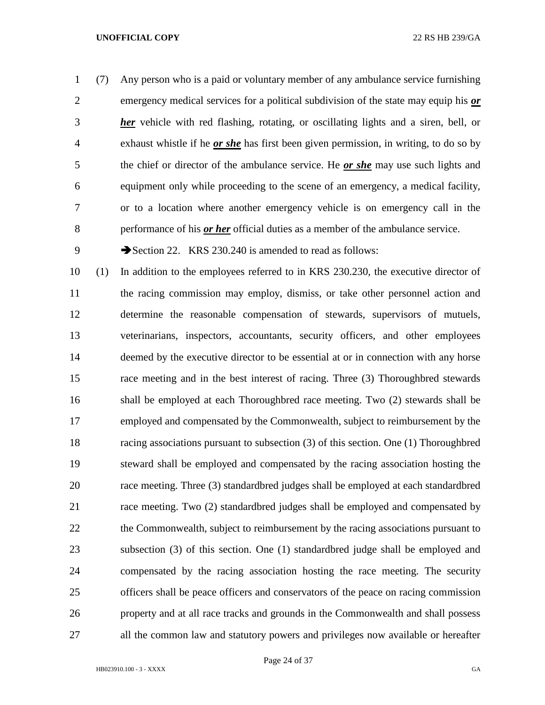(7) Any person who is a paid or voluntary member of any ambulance service furnishing emergency medical services for a political subdivision of the state may equip his *or her* vehicle with red flashing, rotating, or oscillating lights and a siren, bell, or exhaust whistle if he *or she* has first been given permission, in writing, to do so by the chief or director of the ambulance service. He *or she* may use such lights and equipment only while proceeding to the scene of an emergency, a medical facility, or to a location where another emergency vehicle is on emergency call in the performance of his *or her* official duties as a member of the ambulance service.

9 Section 22. KRS 230.240 is amended to read as follows:

 (1) In addition to the employees referred to in KRS 230.230, the executive director of the racing commission may employ, dismiss, or take other personnel action and determine the reasonable compensation of stewards, supervisors of mutuels, veterinarians, inspectors, accountants, security officers, and other employees deemed by the executive director to be essential at or in connection with any horse race meeting and in the best interest of racing. Three (3) Thoroughbred stewards shall be employed at each Thoroughbred race meeting. Two (2) stewards shall be employed and compensated by the Commonwealth, subject to reimbursement by the racing associations pursuant to subsection (3) of this section. One (1) Thoroughbred steward shall be employed and compensated by the racing association hosting the race meeting. Three (3) standardbred judges shall be employed at each standardbred race meeting. Two (2) standardbred judges shall be employed and compensated by 22 the Commonwealth, subject to reimbursement by the racing associations pursuant to subsection (3) of this section. One (1) standardbred judge shall be employed and compensated by the racing association hosting the race meeting. The security officers shall be peace officers and conservators of the peace on racing commission property and at all race tracks and grounds in the Commonwealth and shall possess all the common law and statutory powers and privileges now available or hereafter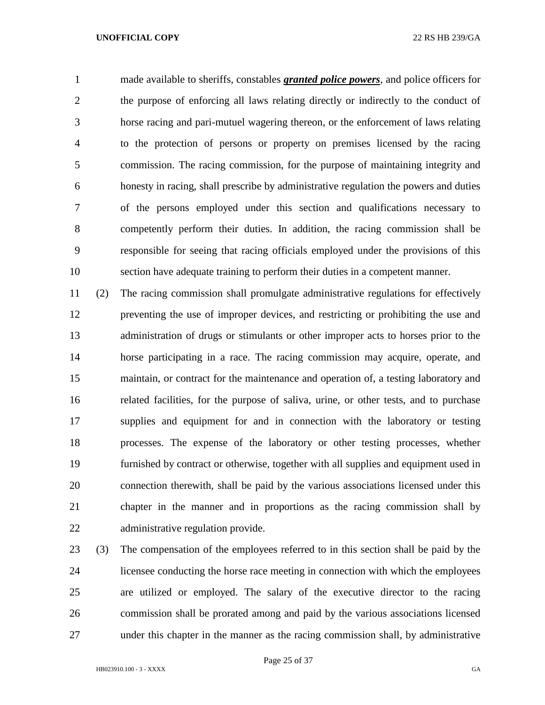made available to sheriffs, constables *granted police powers*, and police officers for the purpose of enforcing all laws relating directly or indirectly to the conduct of horse racing and pari-mutuel wagering thereon, or the enforcement of laws relating to the protection of persons or property on premises licensed by the racing commission. The racing commission, for the purpose of maintaining integrity and honesty in racing, shall prescribe by administrative regulation the powers and duties of the persons employed under this section and qualifications necessary to competently perform their duties. In addition, the racing commission shall be responsible for seeing that racing officials employed under the provisions of this section have adequate training to perform their duties in a competent manner.

 (2) The racing commission shall promulgate administrative regulations for effectively preventing the use of improper devices, and restricting or prohibiting the use and administration of drugs or stimulants or other improper acts to horses prior to the horse participating in a race. The racing commission may acquire, operate, and maintain, or contract for the maintenance and operation of, a testing laboratory and related facilities, for the purpose of saliva, urine, or other tests, and to purchase supplies and equipment for and in connection with the laboratory or testing processes. The expense of the laboratory or other testing processes, whether furnished by contract or otherwise, together with all supplies and equipment used in connection therewith, shall be paid by the various associations licensed under this chapter in the manner and in proportions as the racing commission shall by administrative regulation provide.

 (3) The compensation of the employees referred to in this section shall be paid by the licensee conducting the horse race meeting in connection with which the employees are utilized or employed. The salary of the executive director to the racing commission shall be prorated among and paid by the various associations licensed under this chapter in the manner as the racing commission shall, by administrative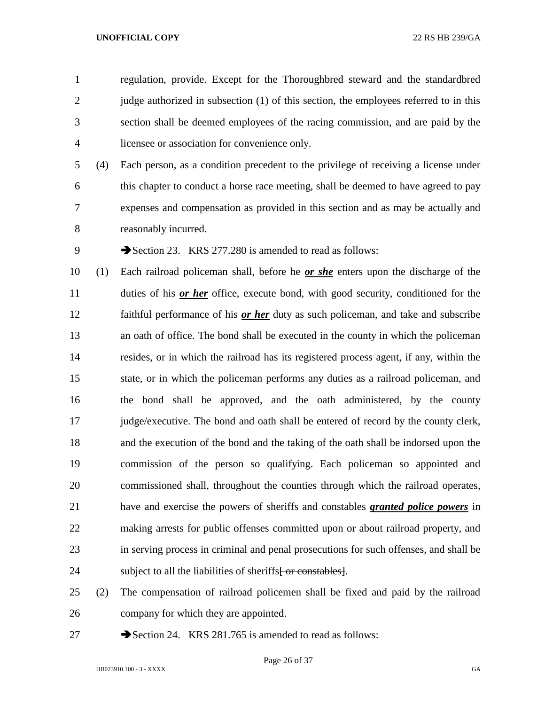regulation, provide. Except for the Thoroughbred steward and the standardbred 2 judge authorized in subsection (1) of this section, the employees referred to in this section shall be deemed employees of the racing commission, and are paid by the licensee or association for convenience only.

 (4) Each person, as a condition precedent to the privilege of receiving a license under this chapter to conduct a horse race meeting, shall be deemed to have agreed to pay expenses and compensation as provided in this section and as may be actually and reasonably incurred.

9 Section 23. KRS 277.280 is amended to read as follows:

 (1) Each railroad policeman shall, before he *or she* enters upon the discharge of the duties of his *or her* office, execute bond, with good security, conditioned for the faithful performance of his *or her* duty as such policeman, and take and subscribe an oath of office. The bond shall be executed in the county in which the policeman resides, or in which the railroad has its registered process agent, if any, within the state, or in which the policeman performs any duties as a railroad policeman, and the bond shall be approved, and the oath administered, by the county judge/executive. The bond and oath shall be entered of record by the county clerk, and the execution of the bond and the taking of the oath shall be indorsed upon the commission of the person so qualifying. Each policeman so appointed and commissioned shall, throughout the counties through which the railroad operates, have and exercise the powers of sheriffs and constables *granted police powers* in making arrests for public offenses committed upon or about railroad property, and in serving process in criminal and penal prosecutions for such offenses, and shall be 24 subject to all the liabilities of sheriffs<del>[ or constables]</del>.

 (2) The compensation of railroad policemen shall be fixed and paid by the railroad company for which they are appointed.

27 Section 24. KRS 281.765 is amended to read as follows:

Page 26 of 37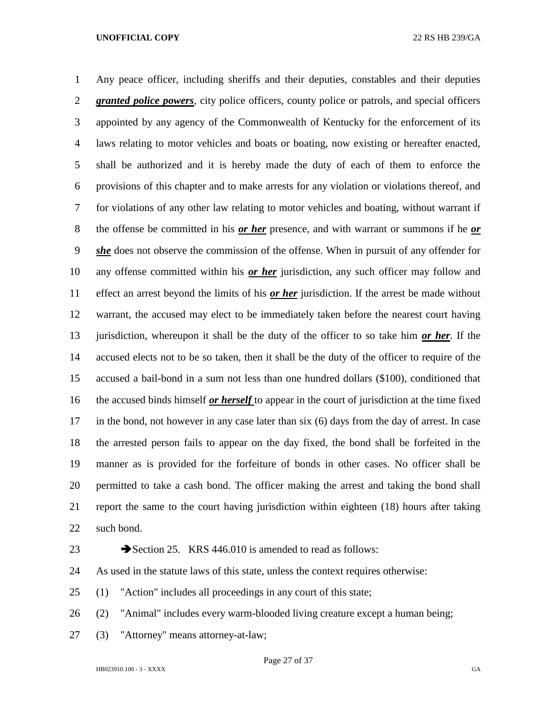Any peace officer, including sheriffs and their deputies, constables and their deputies *granted police powers*, city police officers, county police or patrols, and special officers appointed by any agency of the Commonwealth of Kentucky for the enforcement of its laws relating to motor vehicles and boats or boating, now existing or hereafter enacted, shall be authorized and it is hereby made the duty of each of them to enforce the provisions of this chapter and to make arrests for any violation or violations thereof, and for violations of any other law relating to motor vehicles and boating, without warrant if the offense be committed in his *or her* presence, and with warrant or summons if he *or she* does not observe the commission of the offense. When in pursuit of any offender for any offense committed within his *or her* jurisdiction, any such officer may follow and effect an arrest beyond the limits of his *or her* jurisdiction. If the arrest be made without warrant, the accused may elect to be immediately taken before the nearest court having jurisdiction, whereupon it shall be the duty of the officer to so take him *or her*. If the accused elects not to be so taken, then it shall be the duty of the officer to require of the accused a bail-bond in a sum not less than one hundred dollars (\$100), conditioned that the accused binds himself *or herself* to appear in the court of jurisdiction at the time fixed in the bond, not however in any case later than six (6) days from the day of arrest. In case the arrested person fails to appear on the day fixed, the bond shall be forfeited in the manner as is provided for the forfeiture of bonds in other cases. No officer shall be permitted to take a cash bond. The officer making the arrest and taking the bond shall report the same to the court having jurisdiction within eighteen (18) hours after taking such bond.

23 Section 25. KRS 446.010 is amended to read as follows:

As used in the statute laws of this state, unless the context requires otherwise:

(1) "Action" includes all proceedings in any court of this state;

(2) "Animal" includes every warm-blooded living creature except a human being;

(3) "Attorney" means attorney-at-law;

Page 27 of 37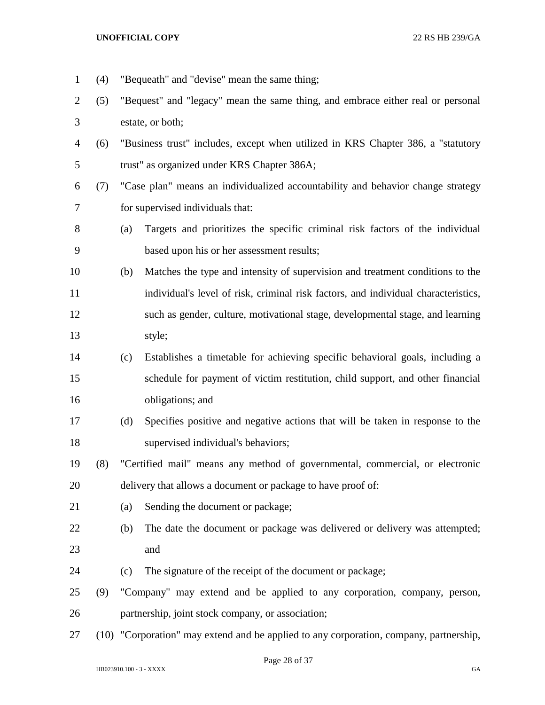(4) "Bequeath" and "devise" mean the same thing; (5) "Bequest" and "legacy" mean the same thing, and embrace either real or personal estate, or both; (6) "Business trust" includes, except when utilized in KRS Chapter 386, a "statutory trust" as organized under KRS Chapter 386A; (7) "Case plan" means an individualized accountability and behavior change strategy for supervised individuals that: (a) Targets and prioritizes the specific criminal risk factors of the individual based upon his or her assessment results; (b) Matches the type and intensity of supervision and treatment conditions to the individual's level of risk, criminal risk factors, and individual characteristics, such as gender, culture, motivational stage, developmental stage, and learning style; (c) Establishes a timetable for achieving specific behavioral goals, including a schedule for payment of victim restitution, child support, and other financial obligations; and (d) Specifies positive and negative actions that will be taken in response to the supervised individual's behaviors; (8) "Certified mail" means any method of governmental, commercial, or electronic delivery that allows a document or package to have proof of: 21 (a) Sending the document or package; (b) The date the document or package was delivered or delivery was attempted; and (c) The signature of the receipt of the document or package; (9) "Company" may extend and be applied to any corporation, company, person, partnership, joint stock company, or association; (10) "Corporation" may extend and be applied to any corporation, company, partnership,

Page 28 of 37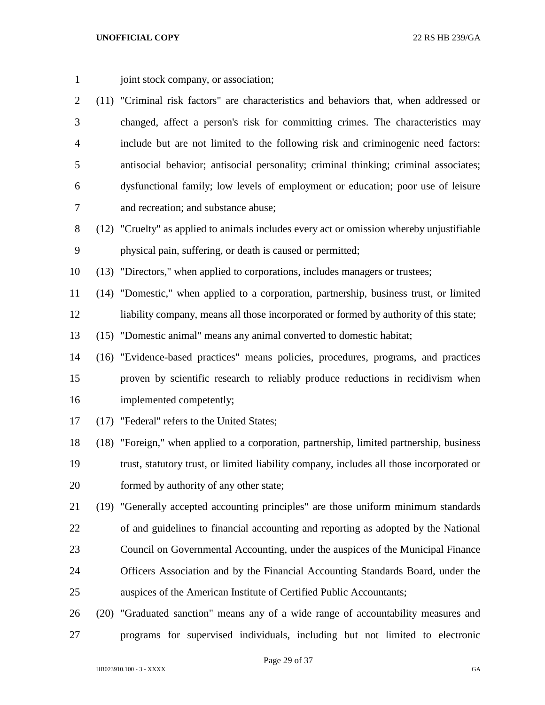1 joint stock company, or association;

- (11) "Criminal risk factors" are characteristics and behaviors that, when addressed or changed, affect a person's risk for committing crimes. The characteristics may include but are not limited to the following risk and criminogenic need factors: antisocial behavior; antisocial personality; criminal thinking; criminal associates; dysfunctional family; low levels of employment or education; poor use of leisure and recreation; and substance abuse;
- (12) "Cruelty" as applied to animals includes every act or omission whereby unjustifiable physical pain, suffering, or death is caused or permitted;

(13) "Directors," when applied to corporations, includes managers or trustees;

 (14) "Domestic," when applied to a corporation, partnership, business trust, or limited liability company, means all those incorporated or formed by authority of this state;

(15) "Domestic animal" means any animal converted to domestic habitat;

- (16) "Evidence-based practices" means policies, procedures, programs, and practices proven by scientific research to reliably produce reductions in recidivism when implemented competently;
- (17) "Federal" refers to the United States;

 (18) "Foreign," when applied to a corporation, partnership, limited partnership, business trust, statutory trust, or limited liability company, includes all those incorporated or formed by authority of any other state;

- (19) "Generally accepted accounting principles" are those uniform minimum standards of and guidelines to financial accounting and reporting as adopted by the National Council on Governmental Accounting, under the auspices of the Municipal Finance Officers Association and by the Financial Accounting Standards Board, under the auspices of the American Institute of Certified Public Accountants;
- (20) "Graduated sanction" means any of a wide range of accountability measures and programs for supervised individuals, including but not limited to electronic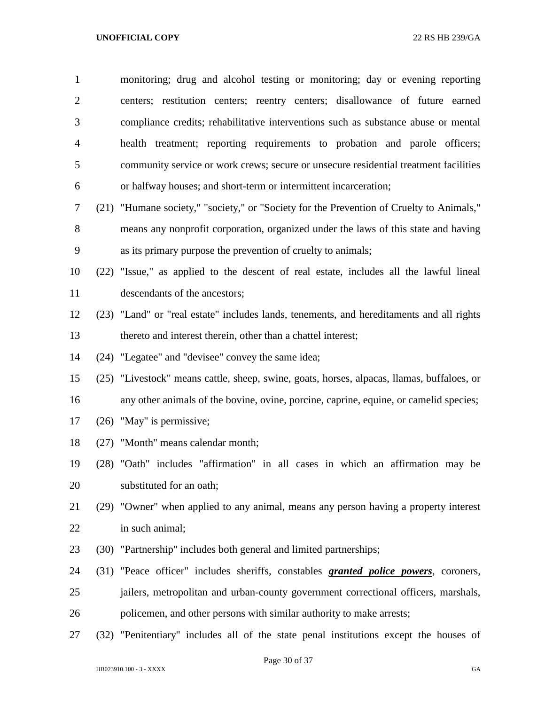| $\mathbf{1}$   | monitoring; drug and alcohol testing or monitoring; day or evening reporting                |
|----------------|---------------------------------------------------------------------------------------------|
| $\overline{2}$ | centers; restitution centers; reentry centers; disallowance of future earned                |
| 3              | compliance credits; rehabilitative interventions such as substance abuse or mental          |
| $\overline{4}$ | health treatment; reporting requirements to probation and parole officers;                  |
| 5              | community service or work crews; secure or unsecure residential treatment facilities        |
| 6              | or halfway houses; and short-term or intermittent incarceration;                            |
| 7              | (21) "Humane society," "society," or "Society for the Prevention of Cruelty to Animals,"    |
| 8              | means any nonprofit corporation, organized under the laws of this state and having          |
| 9              | as its primary purpose the prevention of cruelty to animals;                                |
| 10             | (22) "Issue," as applied to the descent of real estate, includes all the lawful lineal      |
| 11             | descendants of the ancestors;                                                               |
| 12             | (23) "Land" or "real estate" includes lands, tenements, and hereditaments and all rights    |
| 13             | thereto and interest therein, other than a chattel interest;                                |
| 14             | (24) "Legatee" and "devisee" convey the same idea;                                          |
| 15             | (25) "Livestock" means cattle, sheep, swine, goats, horses, alpacas, llamas, buffaloes, or  |
| 16             | any other animals of the bovine, ovine, porcine, caprine, equine, or camelid species;       |
| 17             | $(26)$ "May" is permissive;                                                                 |
| 18             | (27) "Month" means calendar month;                                                          |
| 19             | (28) "Oath" includes "affirmation" in all cases in which an affirmation may be              |
| 20             | substituted for an oath;                                                                    |
| 21             | (29) "Owner" when applied to any animal, means any person having a property interest        |
| 22             | in such animal;                                                                             |
| 23             | (30) "Partnership" includes both general and limited partnerships;                          |
| 24             | (31) "Peace officer" includes sheriffs, constables <i>granted police powers</i> , coroners, |
| 25             | jailers, metropolitan and urban-county government correctional officers, marshals,          |
| 26             | policemen, and other persons with similar authority to make arrests;                        |
| 27             | (32) "Penitentiary" includes all of the state penal institutions except the houses of       |

Page 30 of 37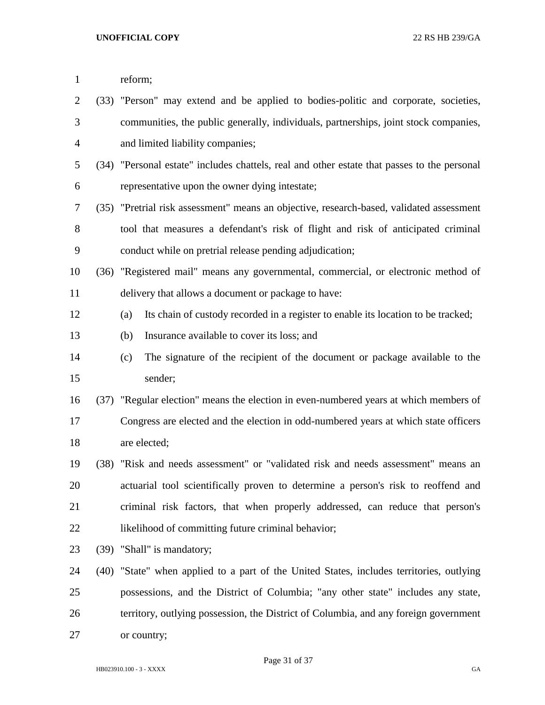| $\mathbf{1}$   |      | reform;                                                                                     |
|----------------|------|---------------------------------------------------------------------------------------------|
| $\overline{2}$ |      | (33) "Person" may extend and be applied to bodies-politic and corporate, societies,         |
| 3              |      | communities, the public generally, individuals, partnerships, joint stock companies,        |
| 4              |      | and limited liability companies;                                                            |
| 5              |      | (34) "Personal estate" includes chattels, real and other estate that passes to the personal |
| 6              |      | representative upon the owner dying intestate;                                              |
| 7              |      | (35) "Pretrial risk assessment" means an objective, research-based, validated assessment    |
| 8              |      | tool that measures a defendant's risk of flight and risk of anticipated criminal            |
| 9              |      | conduct while on pretrial release pending adjudication;                                     |
| 10             |      | (36) "Registered mail" means any governmental, commercial, or electronic method of          |
| 11             |      | delivery that allows a document or package to have:                                         |
| 12             |      | Its chain of custody recorded in a register to enable its location to be tracked;<br>(a)    |
| 13             |      | Insurance available to cover its loss; and<br>(b)                                           |
| 14             |      | The signature of the recipient of the document or package available to the<br>(c)           |
| 15             |      | sender;                                                                                     |
| 16             |      | (37) "Regular election" means the election in even-numbered years at which members of       |
| 17             |      | Congress are elected and the election in odd-numbered years at which state officers         |
| 18             |      | are elected;                                                                                |
| 19             |      | (38) "Risk and needs assessment" or "validated risk and needs assessment" means an          |
| 20             |      | actuarial tool scientifically proven to determine a person's risk to reoffend and           |
| 21             |      | criminal risk factors, that when properly addressed, can reduce that person's               |
| 22             |      | likelihood of committing future criminal behavior;                                          |
| 23             | (39) | "Shall" is mandatory;                                                                       |
| 24             |      | (40) "State" when applied to a part of the United States, includes territories, outlying    |
| 25             |      | possessions, and the District of Columbia; "any other state" includes any state,            |
| 26             |      | territory, outlying possession, the District of Columbia, and any foreign government        |
| 27             |      | or country;                                                                                 |
|                |      |                                                                                             |

Page 31 of 37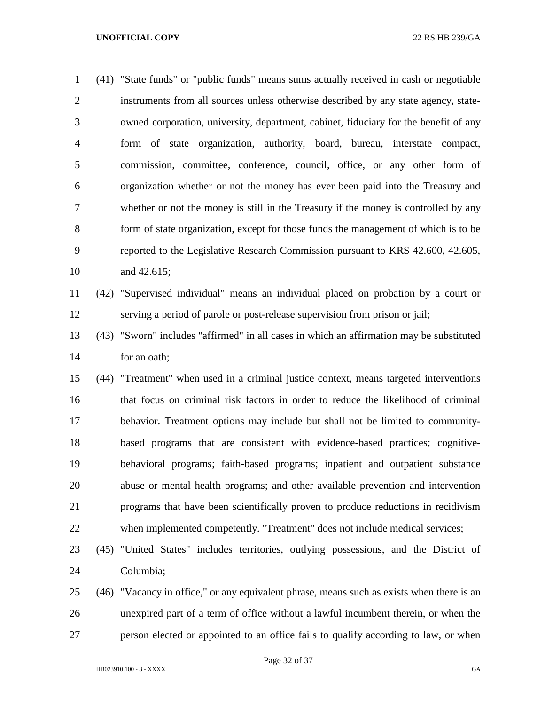(41) "State funds" or "public funds" means sums actually received in cash or negotiable instruments from all sources unless otherwise described by any state agency, state- owned corporation, university, department, cabinet, fiduciary for the benefit of any form of state organization, authority, board, bureau, interstate compact, commission, committee, conference, council, office, or any other form of organization whether or not the money has ever been paid into the Treasury and whether or not the money is still in the Treasury if the money is controlled by any form of state organization, except for those funds the management of which is to be reported to the Legislative Research Commission pursuant to KRS 42.600, 42.605, and 42.615;

 (42) "Supervised individual" means an individual placed on probation by a court or serving a period of parole or post-release supervision from prison or jail;

 (43) "Sworn" includes "affirmed" in all cases in which an affirmation may be substituted for an oath;

 (44) "Treatment" when used in a criminal justice context, means targeted interventions that focus on criminal risk factors in order to reduce the likelihood of criminal behavior. Treatment options may include but shall not be limited to community- based programs that are consistent with evidence-based practices; cognitive- behavioral programs; faith-based programs; inpatient and outpatient substance abuse or mental health programs; and other available prevention and intervention programs that have been scientifically proven to produce reductions in recidivism when implemented competently. "Treatment" does not include medical services;

 (45) "United States" includes territories, outlying possessions, and the District of Columbia;

 (46) "Vacancy in office," or any equivalent phrase, means such as exists when there is an unexpired part of a term of office without a lawful incumbent therein, or when the person elected or appointed to an office fails to qualify according to law, or when

Page 32 of 37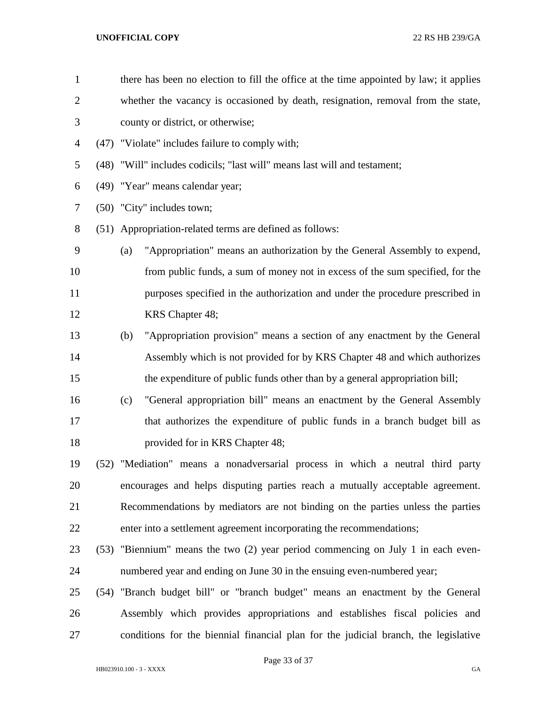| $\mathbf{1}$   | there has been no election to fill the office at the time appointed by law; it applies |
|----------------|----------------------------------------------------------------------------------------|
| $\overline{c}$ | whether the vacancy is occasioned by death, resignation, removal from the state,       |
| 3              | county or district, or otherwise;                                                      |
| 4              | (47) "Violate" includes failure to comply with;                                        |
| 5              | (48) "Will" includes codicils; "last will" means last will and testament;              |
| 6              | (49) "Year" means calendar year;                                                       |
| 7              | (50) "City" includes town;                                                             |
| 8              | (51) Appropriation-related terms are defined as follows:                               |
| 9              | "Appropriation" means an authorization by the General Assembly to expend,<br>(a)       |
| 10             | from public funds, a sum of money not in excess of the sum specified, for the          |
| 11             | purposes specified in the authorization and under the procedure prescribed in          |
| 12             | KRS Chapter 48;                                                                        |
| 13             | "Appropriation provision" means a section of any enactment by the General<br>(b)       |
| 14             | Assembly which is not provided for by KRS Chapter 48 and which authorizes              |
| 15             | the expenditure of public funds other than by a general appropriation bill;            |
| 16             | "General appropriation bill" means an enactment by the General Assembly<br>(c)         |
| 17             | that authorizes the expenditure of public funds in a branch budget bill as             |
| 18             | provided for in KRS Chapter 48;                                                        |
| 19             | (52) "Mediation" means a nonadversarial process in which a neutral third party         |
| 20             | encourages and helps disputing parties reach a mutually acceptable agreement.          |
| 21             | Recommendations by mediators are not binding on the parties unless the parties         |
| 22             | enter into a settlement agreement incorporating the recommendations;                   |
| 23             | (53) "Biennium" means the two (2) year period commencing on July 1 in each even-       |
| 24             | numbered year and ending on June 30 in the ensuing even-numbered year;                 |
| 25             | (54) "Branch budget bill" or "branch budget" means an enactment by the General         |
| 26             | Assembly which provides appropriations and establishes fiscal policies and             |
| 27             | conditions for the biennial financial plan for the judicial branch, the legislative    |
|                |                                                                                        |

Page 33 of 37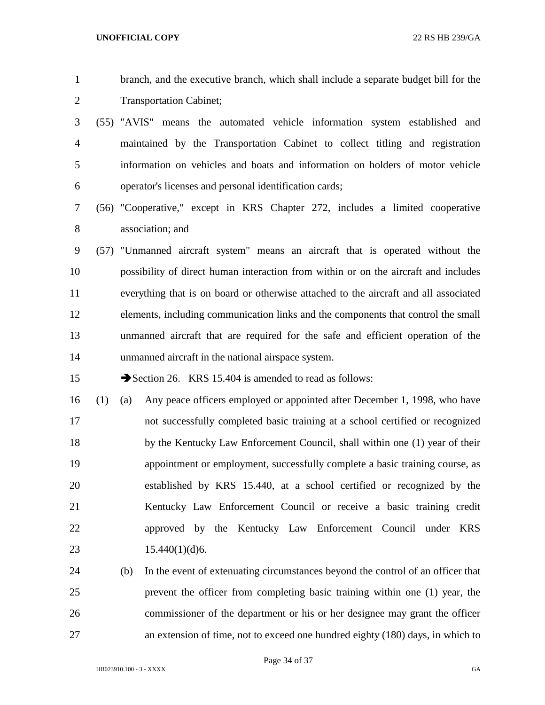branch, and the executive branch, which shall include a separate budget bill for the Transportation Cabinet;

- (55) "AVIS" means the automated vehicle information system established and maintained by the Transportation Cabinet to collect titling and registration information on vehicles and boats and information on holders of motor vehicle operator's licenses and personal identification cards;
- (56) "Cooperative," except in KRS Chapter 272, includes a limited cooperative association; and
- (57) "Unmanned aircraft system" means an aircraft that is operated without the possibility of direct human interaction from within or on the aircraft and includes everything that is on board or otherwise attached to the aircraft and all associated elements, including communication links and the components that control the small unmanned aircraft that are required for the safe and efficient operation of the unmanned aircraft in the national airspace system.

15 Section 26. KRS 15.404 is amended to read as follows:

- (1) (a) Any peace officers employed or appointed after December 1, 1998, who have not successfully completed basic training at a school certified or recognized by the Kentucky Law Enforcement Council, shall within one (1) year of their appointment or employment, successfully complete a basic training course, as established by KRS 15.440, at a school certified or recognized by the Kentucky Law Enforcement Council or receive a basic training credit approved by the Kentucky Law Enforcement Council under KRS 23 15.440(1)(d)6.
- (b) In the event of extenuating circumstances beyond the control of an officer that prevent the officer from completing basic training within one (1) year, the commissioner of the department or his or her designee may grant the officer an extension of time, not to exceed one hundred eighty (180) days, in which to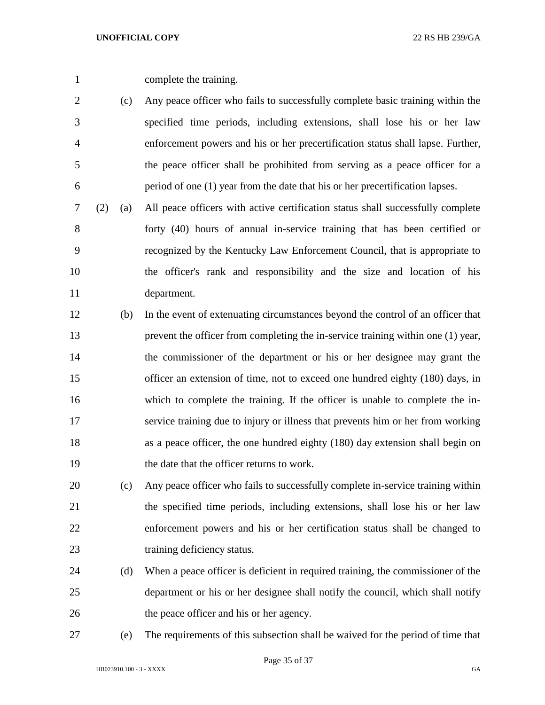complete the training.

- (c) Any peace officer who fails to successfully complete basic training within the specified time periods, including extensions, shall lose his or her law enforcement powers and his or her precertification status shall lapse. Further, the peace officer shall be prohibited from serving as a peace officer for a period of one (1) year from the date that his or her precertification lapses.
- (2) (a) All peace officers with active certification status shall successfully complete forty (40) hours of annual in-service training that has been certified or recognized by the Kentucky Law Enforcement Council, that is appropriate to the officer's rank and responsibility and the size and location of his department.
- (b) In the event of extenuating circumstances beyond the control of an officer that prevent the officer from completing the in-service training within one (1) year, the commissioner of the department or his or her designee may grant the officer an extension of time, not to exceed one hundred eighty (180) days, in which to complete the training. If the officer is unable to complete the in- service training due to injury or illness that prevents him or her from working as a peace officer, the one hundred eighty (180) day extension shall begin on the date that the officer returns to work.
- (c) Any peace officer who fails to successfully complete in-service training within the specified time periods, including extensions, shall lose his or her law enforcement powers and his or her certification status shall be changed to training deficiency status.
- (d) When a peace officer is deficient in required training, the commissioner of the department or his or her designee shall notify the council, which shall notify the peace officer and his or her agency.
- 

(e) The requirements of this subsection shall be waived for the period of time that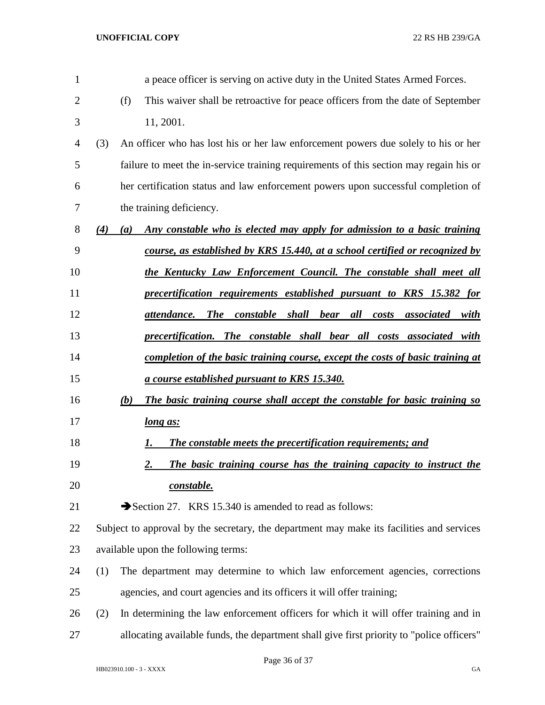| $\mathbf{1}$   |     | a peace officer is serving on active duty in the United States Armed Forces.                   |
|----------------|-----|------------------------------------------------------------------------------------------------|
| $\overline{2}$ |     | (f)<br>This waiver shall be retroactive for peace officers from the date of September          |
| 3              |     | 11, 2001.                                                                                      |
| 4              | (3) | An officer who has lost his or her law enforcement powers due solely to his or her             |
| 5              |     | failure to meet the in-service training requirements of this section may regain his or         |
| 6              |     | her certification status and law enforcement powers upon successful completion of              |
| 7              |     | the training deficiency.                                                                       |
| 8              | (4) | Any constable who is elected may apply for admission to a basic training<br>(a)                |
| 9              |     | course, as established by KRS 15.440, at a school certified or recognized by                   |
| 10             |     | <u>the Kentucky Law Enforcement Council. The constable shall meet all</u>                      |
| 11             |     | precertification requirements established pursuant to KRS 15.382 for                           |
| 12             |     | <b>The</b><br>constable shall bear<br>all<br>attendance.<br>costs<br><i>associated</i><br>with |
| 13             |     | precertification. The constable shall bear all costs associated with                           |
| 14             |     | <u>completion of the basic training course, except the costs of basic training at</u>          |
| 15             |     | <u>a course established pursuant to KRS 15.340.</u>                                            |
| 16             |     | (b)<br>The basic training course shall accept the constable for basic training so              |
| 17             |     | <u>long as:</u>                                                                                |
| 18             |     | <b>The constable meets the precertification requirements; and</b><br>I.                        |
| 19             |     | The basic training course has the training capacity to instruct the<br>2.                      |
| 20             |     | constable.                                                                                     |
| 21             |     | Section 27. KRS 15.340 is amended to read as follows:                                          |
| 22             |     | Subject to approval by the secretary, the department may make its facilities and services      |
| 23             |     | available upon the following terms:                                                            |
| 24             | (1) | The department may determine to which law enforcement agencies, corrections                    |
| 25             |     | agencies, and court agencies and its officers it will offer training;                          |
| 26             | (2) | In determining the law enforcement officers for which it will offer training and in            |
| 27             |     | allocating available funds, the department shall give first priority to "police officers"      |

Page 36 of 37